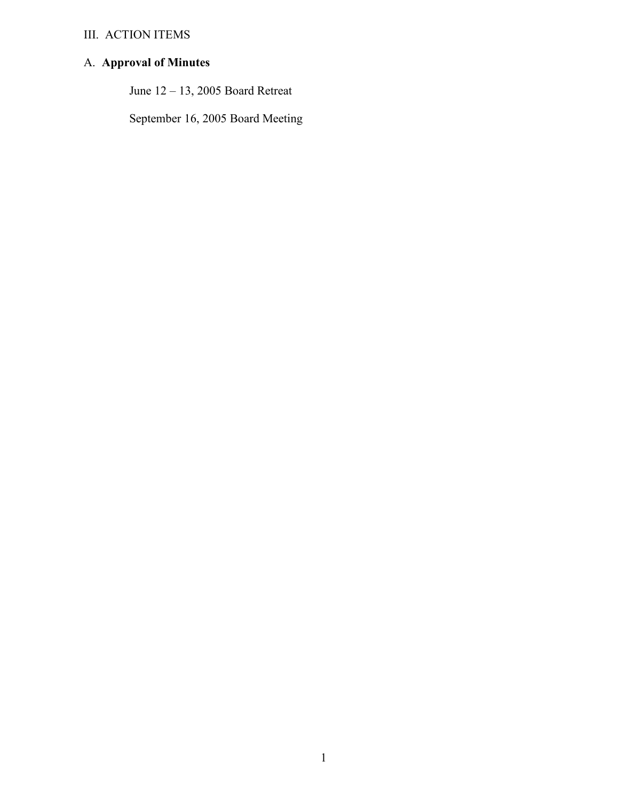# A. **Approval of Minutes**

June 12 – 13, 2005 Board Retreat

September 16, 2005 Board Meeting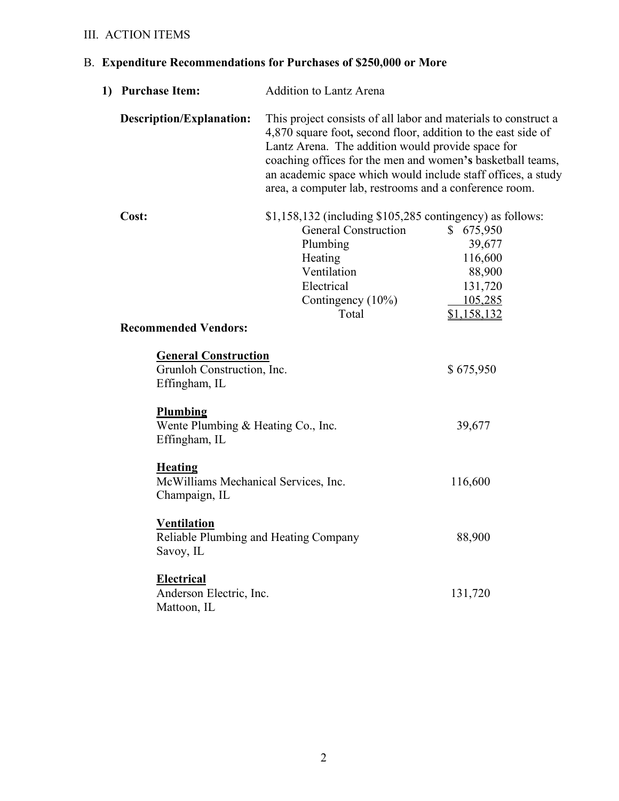# B. **Expenditure Recommendations for Purchases of \$250,000 or More**

|                                                                         | 1) Purchase Item:                                                          | <b>Addition to Lantz Arena</b>                                                                                                                                                                                                                                                                                                                                                |                                                                               |
|-------------------------------------------------------------------------|----------------------------------------------------------------------------|-------------------------------------------------------------------------------------------------------------------------------------------------------------------------------------------------------------------------------------------------------------------------------------------------------------------------------------------------------------------------------|-------------------------------------------------------------------------------|
| <b>Description/Explanation:</b>                                         |                                                                            | This project consists of all labor and materials to construct a<br>4,870 square foot, second floor, addition to the east side of<br>Lantz Arena. The addition would provide space for<br>coaching offices for the men and women's basketball teams,<br>an academic space which would include staff offices, a study<br>area, a computer lab, restrooms and a conference room. |                                                                               |
|                                                                         | Cost:<br><b>Recommended Vendors:</b>                                       | $$1,158,132$ (including $$105,285$ contingency) as follows:<br><b>General Construction</b><br>Plumbing<br>Heating<br>Ventilation<br>Electrical<br>Contingency (10%)<br>Total                                                                                                                                                                                                  | \$675,950<br>39,677<br>116,600<br>88,900<br>131,720<br>105,285<br>\$1,158,132 |
|                                                                         | <b>General Construction</b><br>Grunloh Construction, Inc.<br>Effingham, IL |                                                                                                                                                                                                                                                                                                                                                                               | \$675,950                                                                     |
|                                                                         | Plumbing<br>Wente Plumbing & Heating Co., Inc.<br>Effingham, IL            |                                                                                                                                                                                                                                                                                                                                                                               | 39,677                                                                        |
| <b>Heating</b><br>McWilliams Mechanical Services, Inc.<br>Champaign, IL |                                                                            |                                                                                                                                                                                                                                                                                                                                                                               | 116,600                                                                       |
|                                                                         | <u>Ventilation</u><br>Savoy, IL                                            | Reliable Plumbing and Heating Company                                                                                                                                                                                                                                                                                                                                         | 88,900                                                                        |
|                                                                         | <b>Electrical</b><br>Anderson Electric, Inc.<br>Mattoon, IL                |                                                                                                                                                                                                                                                                                                                                                                               | 131,720                                                                       |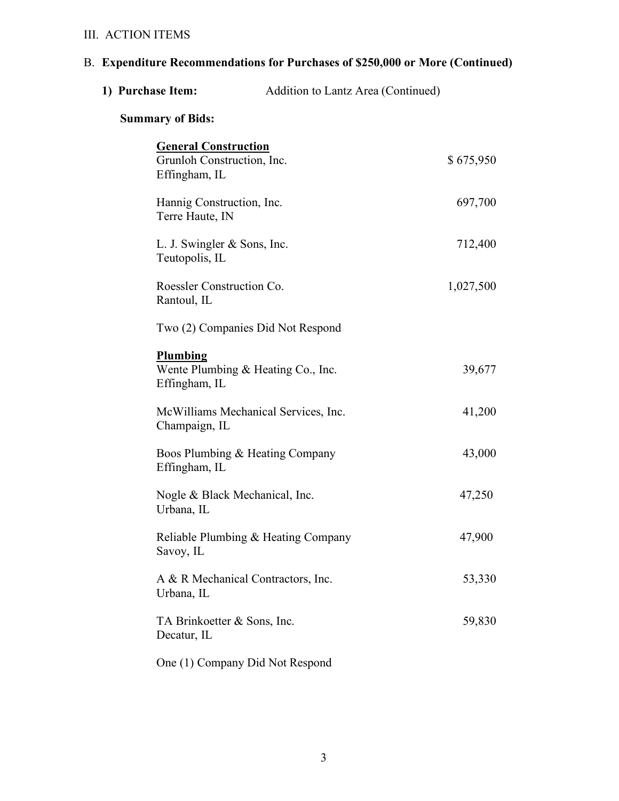# B. **Expenditure Recommendations for Purchases of \$250,000 or More (Continued)**

**1) Purchase Item:** Addition to Lantz Area (Continued)

# **Summary of Bids:**

| <b>General Construction</b>                                            |           |
|------------------------------------------------------------------------|-----------|
| Grunloh Construction, Inc.<br>Effingham, IL                            | \$675,950 |
| Hannig Construction, Inc.<br>Terre Haute, IN                           | 697,700   |
| L. J. Swingler & Sons, Inc.<br>Teutopolis, IL                          | 712,400   |
| Roessler Construction Co.<br>Rantoul, IL                               | 1,027,500 |
| Two (2) Companies Did Not Respond                                      |           |
| <b>Plumbing</b><br>Wente Plumbing & Heating Co., Inc.<br>Effingham, IL | 39,677    |
| McWilliams Mechanical Services, Inc.<br>Champaign, IL                  | 41,200    |
| Boos Plumbing & Heating Company<br>Effingham, IL                       | 43,000    |
| Nogle & Black Mechanical, Inc.<br>Urbana, IL                           | 47,250    |
| Reliable Plumbing & Heating Company<br>Savoy, IL                       | 47,900    |
| A & R Mechanical Contractors, Inc.<br>Urbana, IL                       | 53,330    |
| TA Brinkoetter & Sons, Inc.<br>Decatur, IL                             | 59,830    |
| One (1) Company Did Not Respond                                        |           |

3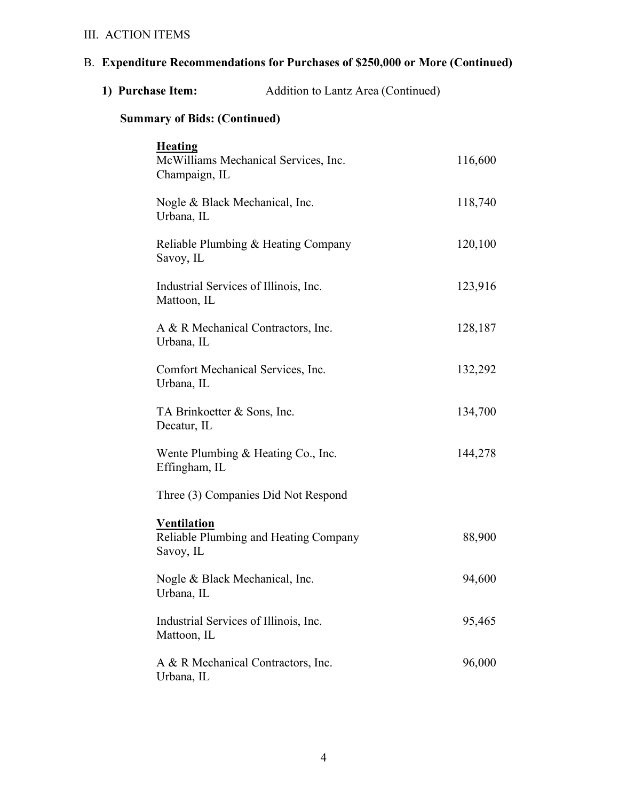# B. **Expenditure Recommendations for Purchases of \$250,000 or More (Continued)**

**1) Purchase Item:** Addition to Lantz Area (Continued)

# **Summary of Bids: (Continued)**

| <b>Heating</b><br>McWilliams Mechanical Services, Inc.<br>Champaign, IL  | 116,600 |
|--------------------------------------------------------------------------|---------|
| Nogle & Black Mechanical, Inc.<br>Urbana, IL                             | 118,740 |
| Reliable Plumbing & Heating Company<br>Savoy, IL                         | 120,100 |
| Industrial Services of Illinois, Inc.<br>Mattoon, IL                     | 123,916 |
| A & R Mechanical Contractors, Inc.<br>Urbana, IL                         | 128,187 |
| Comfort Mechanical Services, Inc.<br>Urbana, IL                          | 132,292 |
| TA Brinkoetter & Sons, Inc.<br>Decatur, IL                               | 134,700 |
| Wente Plumbing & Heating Co., Inc.<br>Effingham, IL                      | 144,278 |
| Three (3) Companies Did Not Respond                                      |         |
| <b>Ventilation</b><br>Reliable Plumbing and Heating Company<br>Savoy, IL | 88,900  |
| Nogle & Black Mechanical, Inc.<br>Urbana, IL                             | 94,600  |
| Industrial Services of Illinois, Inc.<br>Mattoon, IL                     | 95,465  |
| A & R Mechanical Contractors, Inc.<br>Urbana, IL                         | 96,000  |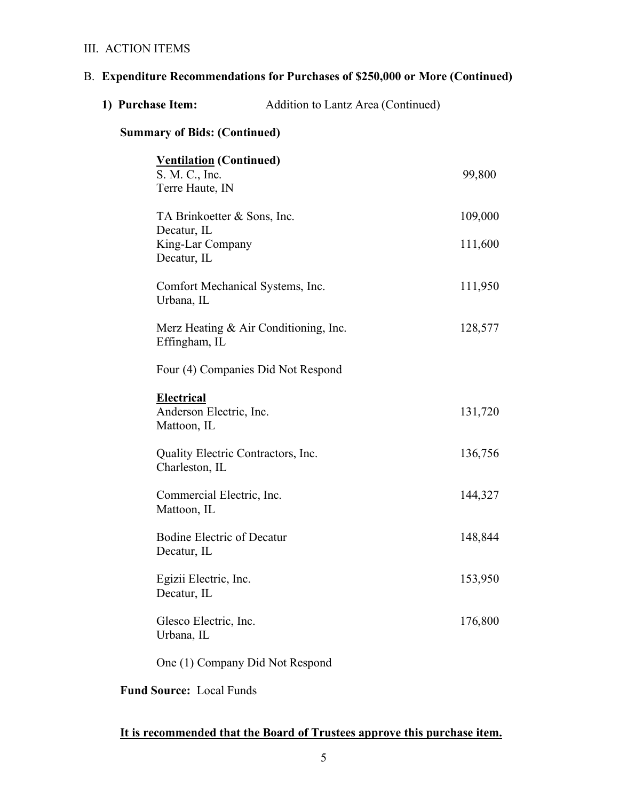# B. **Expenditure Recommendations for Purchases of \$250,000 or More (Continued)**

| 1) Purchase Item:                                                             | Addition to Lantz Area (Continued) |                    |
|-------------------------------------------------------------------------------|------------------------------------|--------------------|
| <b>Summary of Bids: (Continued)</b>                                           |                                    |                    |
| <b>Ventilation</b> (Continued)<br>S. M. C., Inc.<br>Terre Haute, IN           |                                    | 99,800             |
| TA Brinkoetter & Sons, Inc.<br>Decatur, IL<br>King-Lar Company<br>Decatur, IL |                                    | 109,000<br>111,600 |
| Comfort Mechanical Systems, Inc.<br>Urbana, IL                                |                                    | 111,950            |
| Merz Heating & Air Conditioning, Inc.<br>Effingham, IL                        |                                    | 128,577            |
| Four (4) Companies Did Not Respond                                            |                                    |                    |
| <b>Electrical</b><br>Anderson Electric, Inc.<br>Mattoon, IL                   |                                    | 131,720            |
| Quality Electric Contractors, Inc.<br>Charleston, IL                          |                                    | 136,756            |
| Commercial Electric, Inc.<br>Mattoon, IL                                      |                                    | 144,327            |
| Bodine Electric of Decatur<br>Decatur, IL                                     |                                    | 148,844            |
| Egizii Electric, Inc.<br>Decatur, IL                                          |                                    | 153,950            |
| Glesco Electric, Inc.<br>Urbana, IL                                           |                                    | 176,800            |
| One (1) Company Did Not Respond                                               |                                    |                    |

**Fund Source:** Local Funds

# **It is recommended that the Board of Trustees approve this purchase item.**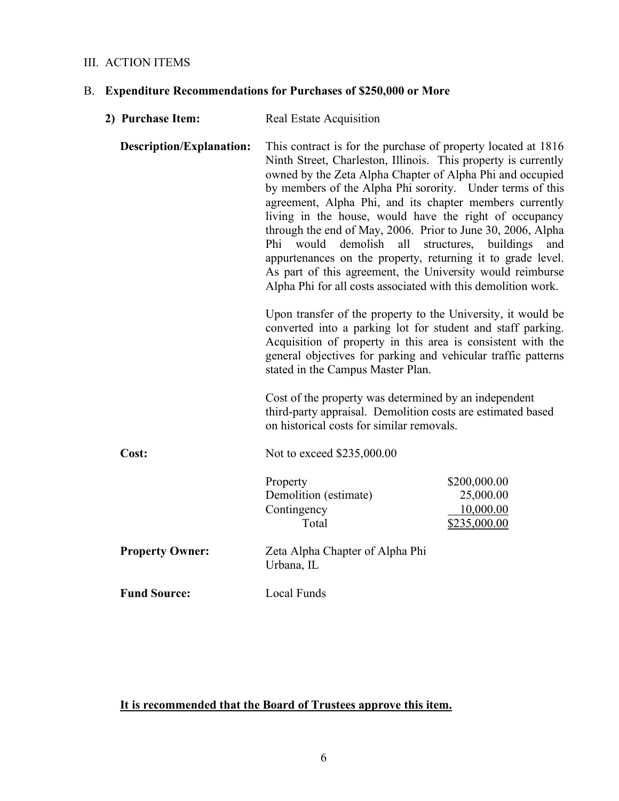## B. **Expenditure Recommendations for Purchases of \$250,000 or More**

| 2) Purchase Item:               | <b>Real Estate Acquisition</b>                                                                                                                                                                                                                                                                                                                                                                                                                                                                                                                                                                                                                                                |                                                        |
|---------------------------------|-------------------------------------------------------------------------------------------------------------------------------------------------------------------------------------------------------------------------------------------------------------------------------------------------------------------------------------------------------------------------------------------------------------------------------------------------------------------------------------------------------------------------------------------------------------------------------------------------------------------------------------------------------------------------------|--------------------------------------------------------|
| <b>Description/Explanation:</b> | This contract is for the purchase of property located at 1816<br>Ninth Street, Charleston, Illinois. This property is currently<br>owned by the Zeta Alpha Chapter of Alpha Phi and occupied<br>by members of the Alpha Phi sorority. Under terms of this<br>agreement, Alpha Phi, and its chapter members currently<br>living in the house, would have the right of occupancy<br>through the end of May, 2006. Prior to June 30, 2006, Alpha<br>all<br>Phi<br>would<br>demolish<br>appurtenances on the property, returning it to grade level.<br>As part of this agreement, the University would reimburse<br>Alpha Phi for all costs associated with this demolition work. | structures,<br>buildings<br>and                        |
|                                 | Upon transfer of the property to the University, it would be<br>converted into a parking lot for student and staff parking.<br>Acquisition of property in this area is consistent with the<br>general objectives for parking and vehicular traffic patterns<br>stated in the Campus Master Plan.                                                                                                                                                                                                                                                                                                                                                                              |                                                        |
|                                 | Cost of the property was determined by an independent<br>third-party appraisal. Demolition costs are estimated based<br>on historical costs for similar removals.                                                                                                                                                                                                                                                                                                                                                                                                                                                                                                             |                                                        |
| Cost:                           | Not to exceed \$235,000.00                                                                                                                                                                                                                                                                                                                                                                                                                                                                                                                                                                                                                                                    |                                                        |
|                                 | Property<br>Demolition (estimate)<br>Contingency<br>Total                                                                                                                                                                                                                                                                                                                                                                                                                                                                                                                                                                                                                     | \$200,000.00<br>25,000.00<br>10,000.00<br>\$235,000.00 |
| <b>Property Owner:</b>          | Zeta Alpha Chapter of Alpha Phi<br>Urbana, IL                                                                                                                                                                                                                                                                                                                                                                                                                                                                                                                                                                                                                                 |                                                        |
| <b>Fund Source:</b>             | <b>Local Funds</b>                                                                                                                                                                                                                                                                                                                                                                                                                                                                                                                                                                                                                                                            |                                                        |

# **It is recommended that the Board of Trustees approve this item.**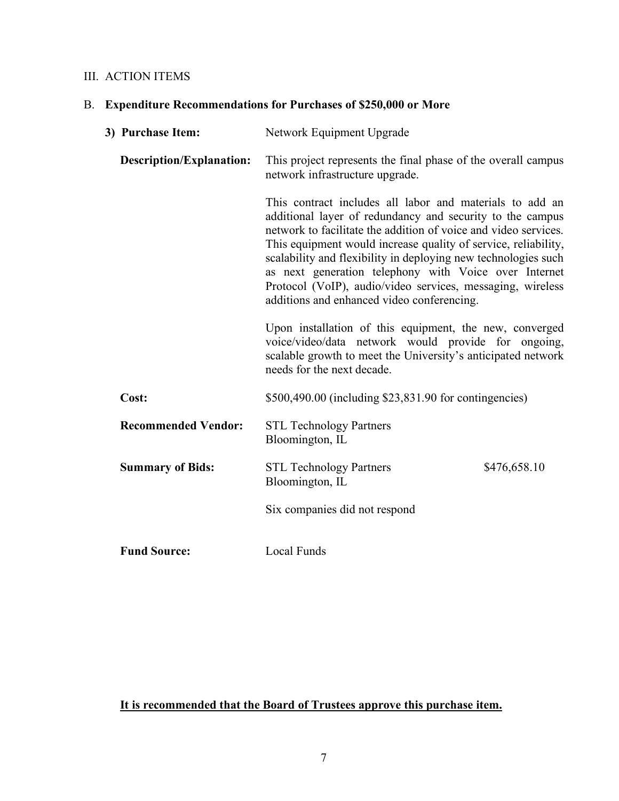## B. **Expenditure Recommendations for Purchases of \$250,000 or More**

| 3) Purchase Item:               | Network Equipment Upgrade                                                                                                                                                                                                                                                                                                                                                                                                                                                                         |              |
|---------------------------------|---------------------------------------------------------------------------------------------------------------------------------------------------------------------------------------------------------------------------------------------------------------------------------------------------------------------------------------------------------------------------------------------------------------------------------------------------------------------------------------------------|--------------|
| <b>Description/Explanation:</b> | This project represents the final phase of the overall campus<br>network infrastructure upgrade.                                                                                                                                                                                                                                                                                                                                                                                                  |              |
|                                 | This contract includes all labor and materials to add an<br>additional layer of redundancy and security to the campus<br>network to facilitate the addition of voice and video services.<br>This equipment would increase quality of service, reliability,<br>scalability and flexibility in deploying new technologies such<br>as next generation telephony with Voice over Internet<br>Protocol (VoIP), audio/video services, messaging, wireless<br>additions and enhanced video conferencing. |              |
|                                 | Upon installation of this equipment, the new, converged<br>voice/video/data network would provide for ongoing,<br>scalable growth to meet the University's anticipated network<br>needs for the next decade.                                                                                                                                                                                                                                                                                      |              |
| Cost:                           | \$500,490.00 (including \$23,831.90 for contingencies)                                                                                                                                                                                                                                                                                                                                                                                                                                            |              |
| <b>Recommended Vendor:</b>      | <b>STL Technology Partners</b><br>Bloomington, IL                                                                                                                                                                                                                                                                                                                                                                                                                                                 |              |
| <b>Summary of Bids:</b>         | <b>STL Technology Partners</b><br>Bloomington, IL                                                                                                                                                                                                                                                                                                                                                                                                                                                 | \$476,658.10 |
|                                 | Six companies did not respond                                                                                                                                                                                                                                                                                                                                                                                                                                                                     |              |
| <b>Fund Source:</b>             | Local Funds                                                                                                                                                                                                                                                                                                                                                                                                                                                                                       |              |

# **It is recommended that the Board of Trustees approve this purchase item.**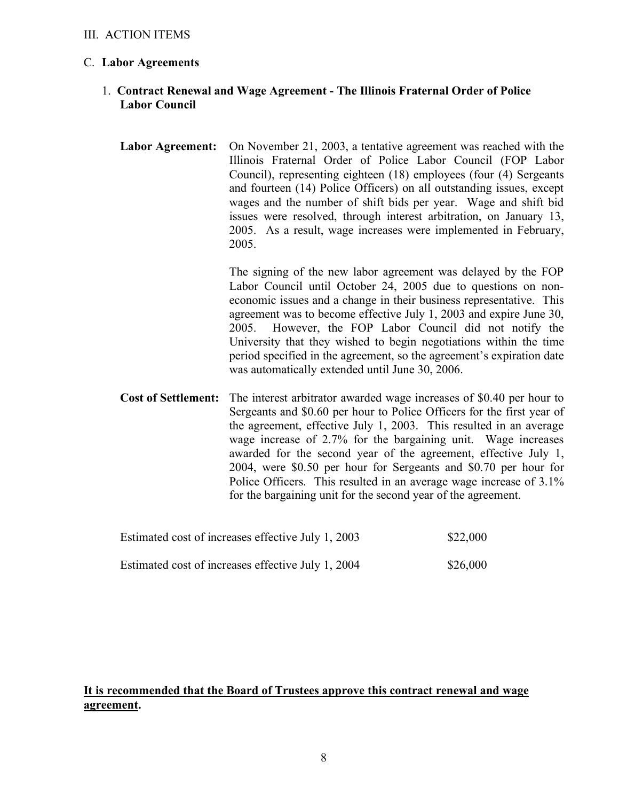#### C. **Labor Agreements**

## 1. **Contract Renewal and Wage Agreement - The Illinois Fraternal Order of Police Labor Council**

**Labor Agreement:** On November 21, 2003, a tentative agreement was reached with the Illinois Fraternal Order of Police Labor Council (FOP Labor Council), representing eighteen (18) employees (four (4) Sergeants and fourteen (14) Police Officers) on all outstanding issues, except wages and the number of shift bids per year. Wage and shift bid issues were resolved, through interest arbitration, on January 13, 2005. As a result, wage increases were implemented in February, 2005.

> The signing of the new labor agreement was delayed by the FOP Labor Council until October 24, 2005 due to questions on noneconomic issues and a change in their business representative. This agreement was to become effective July 1, 2003 and expire June 30, 2005. However, the FOP Labor Council did not notify the University that they wished to begin negotiations within the time period specified in the agreement, so the agreement's expiration date was automatically extended until June 30, 2006.

**Cost of Settlement:** The interest arbitrator awarded wage increases of \$0.40 per hour to Sergeants and \$0.60 per hour to Police Officers for the first year of the agreement, effective July 1, 2003. This resulted in an average wage increase of 2.7% for the bargaining unit. Wage increases awarded for the second year of the agreement, effective July 1, 2004, were \$0.50 per hour for Sergeants and \$0.70 per hour for Police Officers. This resulted in an average wage increase of 3.1% for the bargaining unit for the second year of the agreement.

| Estimated cost of increases effective July 1, 2003 | \$22,000 |
|----------------------------------------------------|----------|
| Estimated cost of increases effective July 1, 2004 | \$26,000 |

## **It is recommended that the Board of Trustees approve this contract renewal and wage agreement.**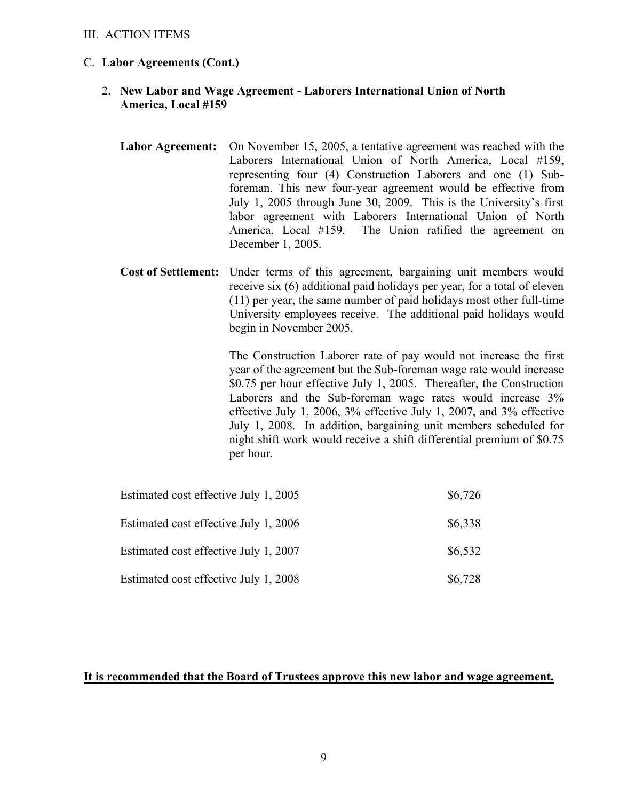### C. **Labor Agreements (Cont.)**

- 2. **New Labor and Wage Agreement - Laborers International Union of North America, Local #159**
	- **Labor Agreement:** On November 15, 2005, a tentative agreement was reached with the Laborers International Union of North America, Local #159, representing four (4) Construction Laborers and one (1) Subforeman. This new four-year agreement would be effective from July 1, 2005 through June 30, 2009. This is the University's first labor agreement with Laborers International Union of North America, Local #159. The Union ratified the agreement on December 1, 2005.
	- **Cost of Settlement:** Under terms of this agreement, bargaining unit members would receive six (6) additional paid holidays per year, for a total of eleven (11) per year, the same number of paid holidays most other full-time University employees receive. The additional paid holidays would begin in November 2005.

The Construction Laborer rate of pay would not increase the first year of the agreement but the Sub-foreman wage rate would increase \$0.75 per hour effective July 1, 2005. Thereafter, the Construction Laborers and the Sub-foreman wage rates would increase  $3\%$ effective July 1, 2006, 3% effective July 1, 2007, and 3% effective July 1, 2008. In addition, bargaining unit members scheduled for night shift work would receive a shift differential premium of \$0.75 per hour.

| Estimated cost effective July 1, 2005 | \$6,726 |
|---------------------------------------|---------|
| Estimated cost effective July 1, 2006 | \$6,338 |
| Estimated cost effective July 1, 2007 | \$6,532 |
| Estimated cost effective July 1, 2008 | \$6,728 |

## **It is recommended that the Board of Trustees approve this new labor and wage agreement.**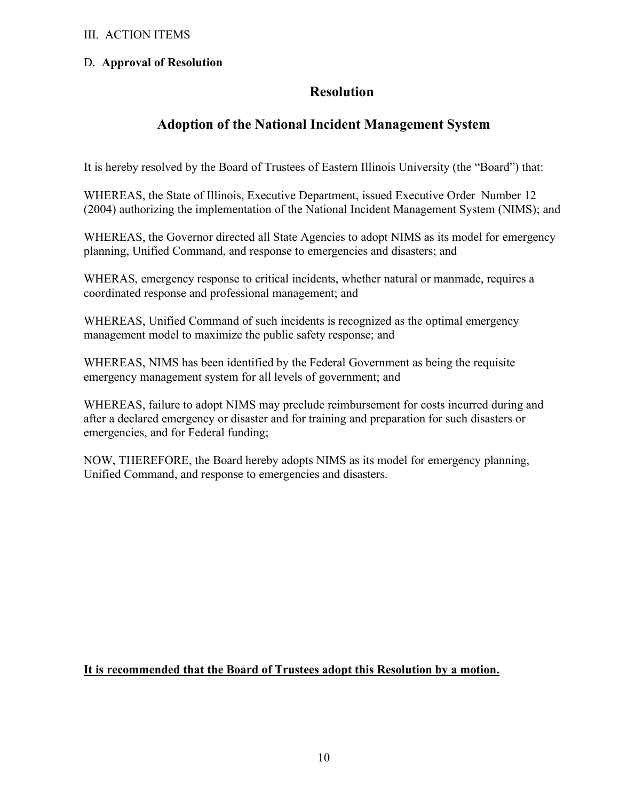## D. **Approval of Resolution**

# **Resolution**

# **Adoption of the National Incident Management System**

It is hereby resolved by the Board of Trustees of Eastern Illinois University (the "Board") that:

WHEREAS, the State of Illinois, Executive Department, issued Executive Order Number 12 (2004) authorizing the implementation of the National Incident Management System (NIMS); and

WHEREAS, the Governor directed all State Agencies to adopt NIMS as its model for emergency planning, Unified Command, and response to emergencies and disasters; and

WHERAS, emergency response to critical incidents, whether natural or manmade, requires a coordinated response and professional management; and

WHEREAS, Unified Command of such incidents is recognized as the optimal emergency management model to maximize the public safety response; and

WHEREAS, NIMS has been identified by the Federal Government as being the requisite emergency management system for all levels of government; and

WHEREAS, failure to adopt NIMS may preclude reimbursement for costs incurred during and after a declared emergency or disaster and for training and preparation for such disasters or emergencies, and for Federal funding;

NOW, THEREFORE, the Board hereby adopts NIMS as its model for emergency planning, Unified Command, and response to emergencies and disasters.

# **It is recommended that the Board of Trustees adopt this Resolution by a motion.**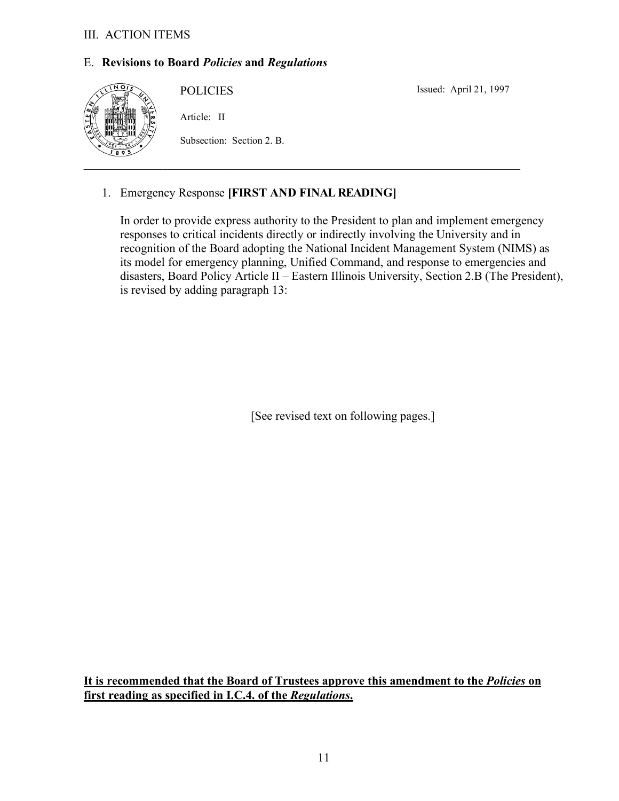## E. **Revisions to Board** *Policies* **and** *Regulations*



POLICIES

Article: II

Subsection: Section 2. B.

# 1. Emergency Response **[FIRST AND FINAL READING]**

In order to provide express authority to the President to plan and implement emergency responses to critical incidents directly or indirectly involving the University and in recognition of the Board adopting the National Incident Management System (NIMS) as its model for emergency planning, Unified Command, and response to emergencies and disasters, Board Policy Article II – Eastern Illinois University, Section 2.B (The President), is revised by adding paragraph 13:

[See revised text on following pages.]

**It is recommended that the Board of Trustees approve this amendment to the** *Policies* **on first reading as specified in I.C.4. of the** *Regulations***.**

Issued: April 21, 1997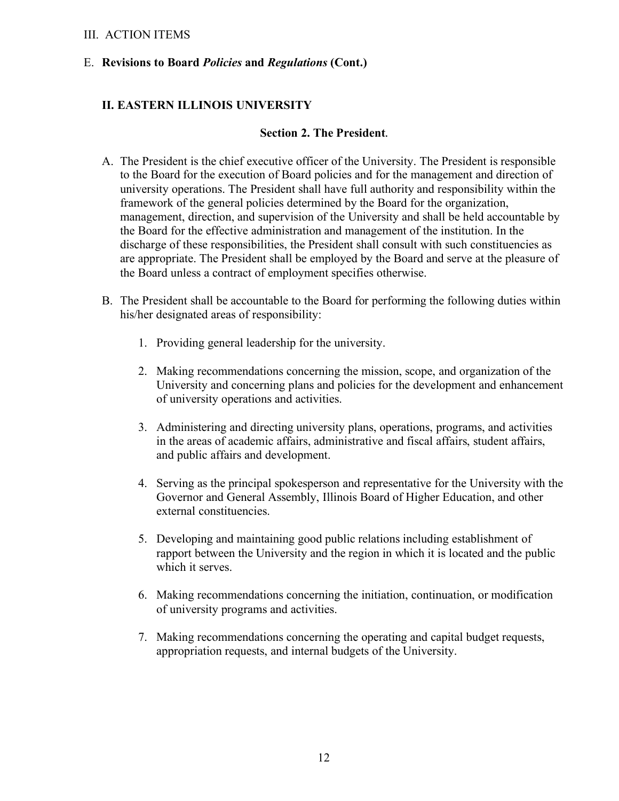### E. **Revisions to Board** *Policies* **and** *Regulations* **(Cont.)**

## **II. EASTERN ILLINOIS UNIVERSITY**

#### **Section 2. The President.**

- A. The President is the chief executive officer of the University. The President is responsible to the Board for the execution of Board policies and for the management and direction of university operations. The President shall have full authority and responsibility within the framework of the general policies determined by the Board for the organization, management, direction, and supervision of the University and shall be held accountable by the Board for the effective administration and management of the institution. In the discharge of these responsibilities, the President shall consult with such constituencies as are appropriate. The President shall be employed by the Board and serve at the pleasure of the Board unless a contract of employment specifies otherwise.
- B. The President shall be accountable to the Board for performing the following duties within his/her designated areas of responsibility:
	- 1. Providing general leadership for the university.
	- 2. Making recommendations concerning the mission, scope, and organization of the University and concerning plans and policies for the development and enhancement of university operations and activities.
	- 3. Administering and directing university plans, operations, programs, and activities in the areas of academic affairs, administrative and fiscal affairs, student affairs, and public affairs and development.
	- 4. Serving as the principal spokesperson and representative for the University with the Governor and General Assembly, Illinois Board of Higher Education, and other external constituencies.
	- 5. Developing and maintaining good public relations including establishment of rapport between the University and the region in which it is located and the public which it serves.
	- 6. Making recommendations concerning the initiation, continuation, or modification of university programs and activities.
	- 7. Making recommendations concerning the operating and capital budget requests, appropriation requests, and internal budgets of the University.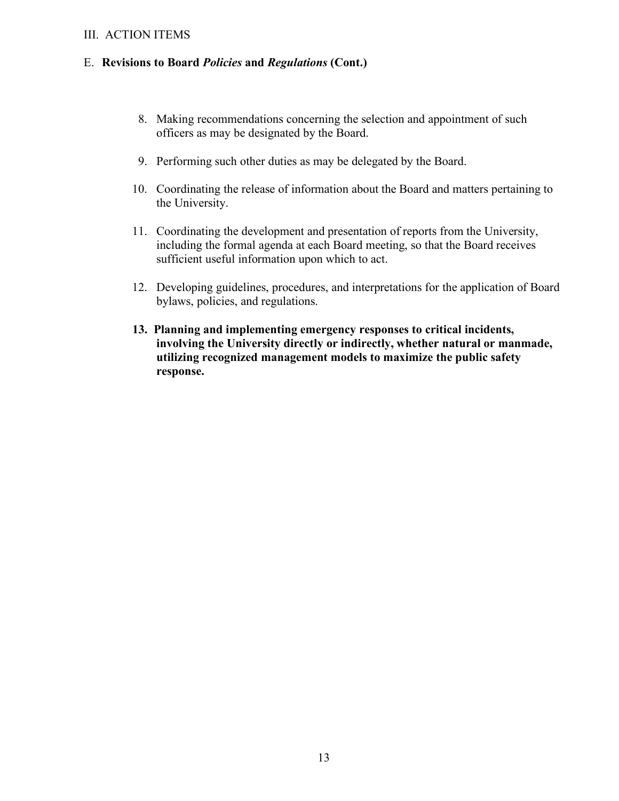## E. **Revisions to Board** *Policies* **and** *Regulations* **(Cont.)**

- 8. Making recommendations concerning the selection and appointment of such officers as may be designated by the Board.
- 9. Performing such other duties as may be delegated by the Board.
- 10. Coordinating the release of information about the Board and matters pertaining to the University.
- 11. Coordinating the development and presentation of reports from the University, including the formal agenda at each Board meeting, so that the Board receives sufficient useful information upon which to act.
- 12. Developing guidelines, procedures, and interpretations for the application of Board bylaws, policies, and regulations.
- **13. Planning and implementing emergency responses to critical incidents, involving the University directly or indirectly, whether natural or manmade, utilizing recognized management models to maximize the public safety response.**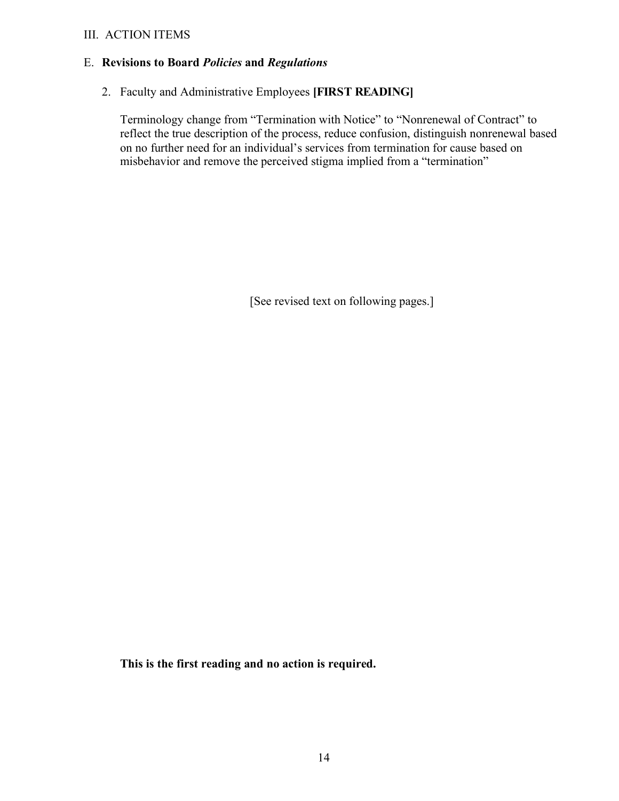### E. **Revisions to Board** *Policies* **and** *Regulations*

### 2. Faculty and Administrative Employees **[FIRST READING]**

Terminology change from "Termination with Notice" to "Nonrenewal of Contract" to reflect the true description of the process, reduce confusion, distinguish nonrenewal based on no further need for an individual's services from termination for cause based on misbehavior and remove the perceived stigma implied from a "termination"

[See revised text on following pages.]

**This is the first reading and no action is required.**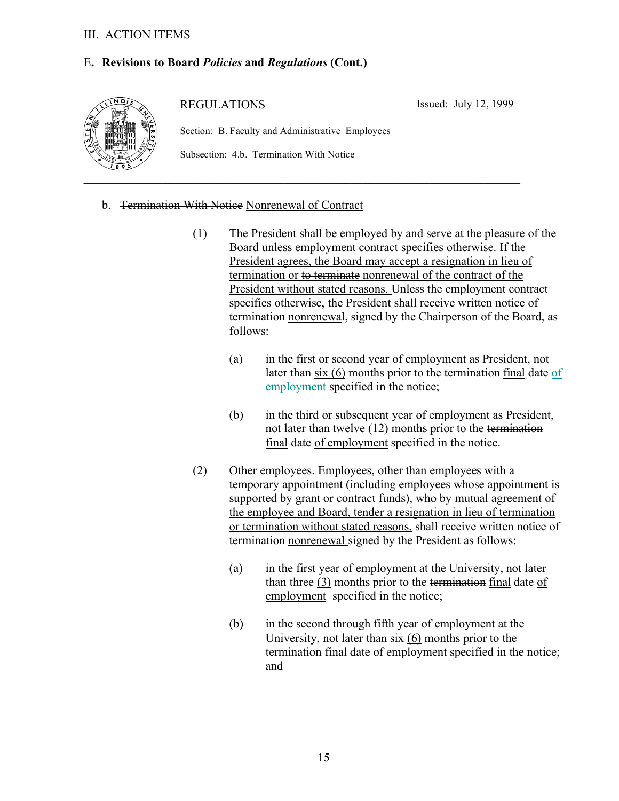## E**. Revisions to Board** *Policies* **and** *Regulations* **(Cont.)**



REGULATIONS Section: B. Faculty and Administrative Employees Subsection: 4.b. Termination With Notice

- b. Termination With Notice Nonrenewal of Contract
	- (1) The President shall be employed by and serve at the pleasure of the Board unless employment contract specifies otherwise. If the President agrees, the Board may accept a resignation in lieu of termination or to terminate nonrenewal of the contract of the President without stated reasons. Unless the employment contract specifies otherwise, the President shall receive written notice of termination nonrenewal, signed by the Chairperson of the Board, as follows:
		- (a) in the first or second year of employment as President, not later than six (6) months prior to the termination final date of employment specified in the notice;

Issued: July 12, 1999

- (b) in the third or subsequent year of employment as President, not later than twelve  $(12)$  months prior to the termination final date of employment specified in the notice.
- (2) Other employees. Employees, other than employees with a temporary appointment (including employees whose appointment is supported by grant or contract funds), who by mutual agreement of the employee and Board, tender a resignation in lieu of termination or termination without stated reasons, shall receive written notice of termination nonrenewal signed by the President as follows:
	- (a) in the first year of employment at the University, not later than three (3) months prior to the termination final date of employment specified in the notice;
	- (b) in the second through fifth year of employment at the University, not later than six (6) months prior to the termination final date of employment specified in the notice; and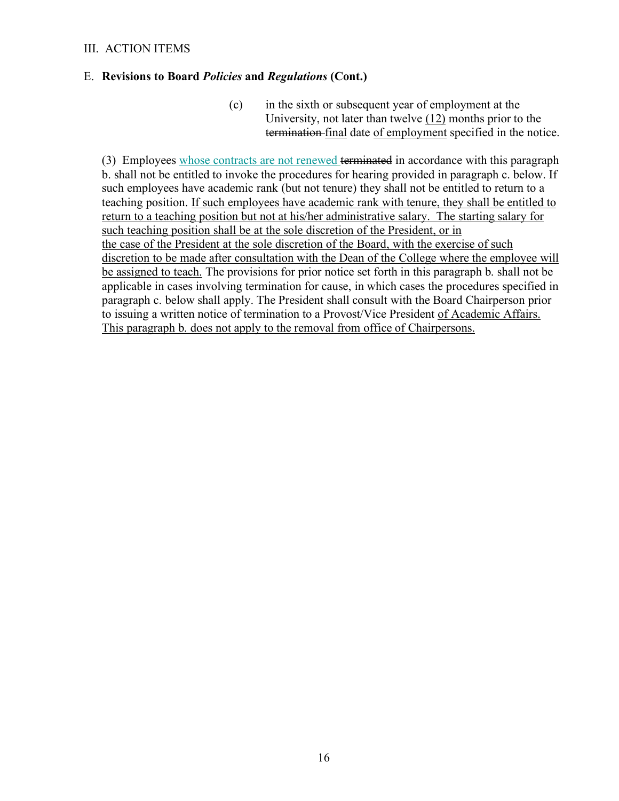## E. **Revisions to Board** *Policies* **and** *Regulations* **(Cont.)**

(c) in the sixth or subsequent year of employment at the University, not later than twelve (12) months prior to the termination final date of employment specified in the notice.

(3) Employees whose contracts are not renewed terminated in accordance with this paragraph b. shall not be entitled to invoke the procedures for hearing provided in paragraph c. below. If such employees have academic rank (but not tenure) they shall not be entitled to return to a teaching position. If such employees have academic rank with tenure, they shall be entitled to return to a teaching position but not at his/her administrative salary. The starting salary for such teaching position shall be at the sole discretion of the President, or in the case of the President at the sole discretion of the Board, with the exercise of such discretion to be made after consultation with the Dean of the College where the employee will be assigned to teach. The provisions for prior notice set forth in this paragraph b. shall not be applicable in cases involving termination for cause, in which cases the procedures specified in paragraph c. below shall apply. The President shall consult with the Board Chairperson prior to issuing a written notice of termination to a Provost/Vice President of Academic Affairs. This paragraph b. does not apply to the removal from office of Chairpersons.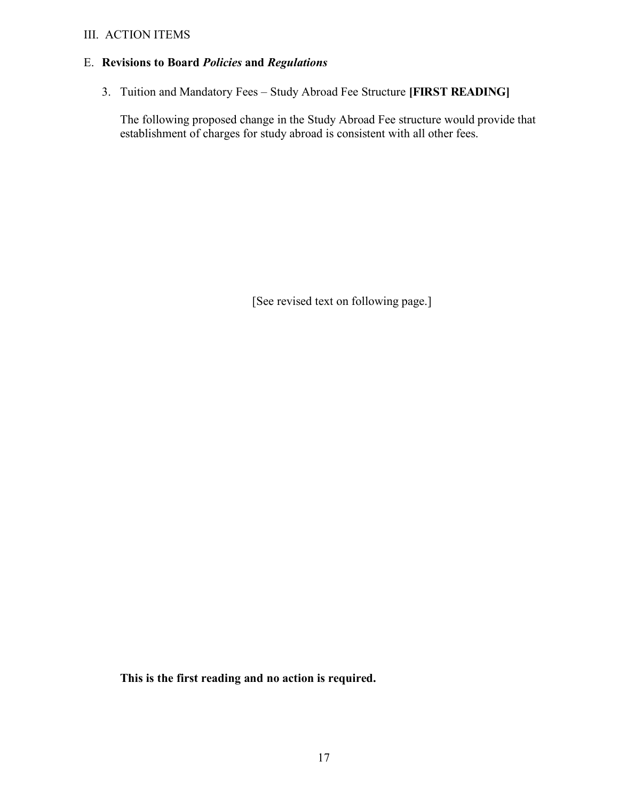## E. **Revisions to Board** *Policies* **and** *Regulations*

3. Tuition and Mandatory Fees – Study Abroad Fee Structure **[FIRST READING]**

The following proposed change in the Study Abroad Fee structure would provide that establishment of charges for study abroad is consistent with all other fees.

[See revised text on following page.]

**This is the first reading and no action is required.**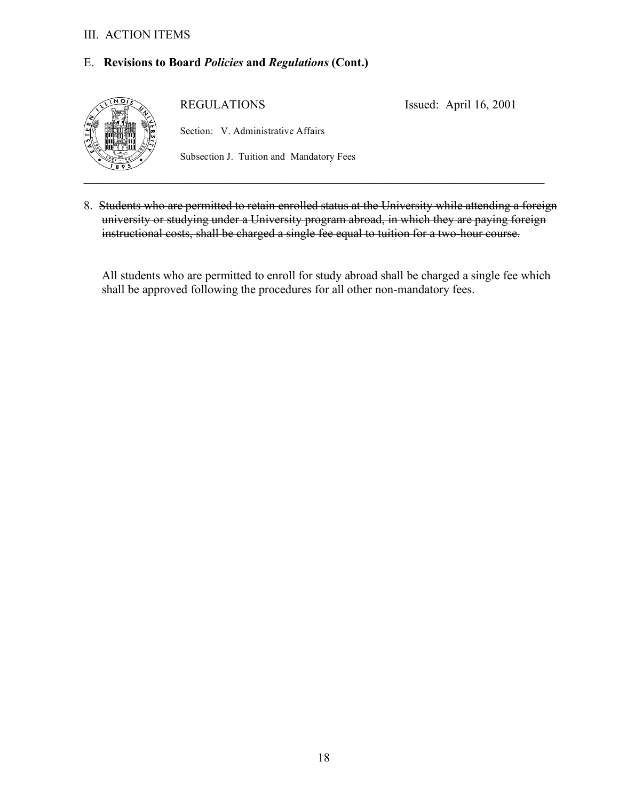## E. **Revisions to Board** *Policies* **and** *Regulations* **(Cont.)**

| <b>REGULATIONS</b>                       | Issued: April $16, 2001$ |
|------------------------------------------|--------------------------|
| Section: V. Administrative Affairs       |                          |
| Subsection J. Tuition and Mandatory Fees |                          |
|                                          |                          |

8. Students who are permitted to retain enrolled status at the University while attending a foreign university or studying under a University program abroad, in which they are paying foreign instructional costs, shall be charged a single fee equal to tuition for a two-hour course.

All students who are permitted to enroll for study abroad shall be charged a single fee which shall be approved following the procedures for all other non-mandatory fees.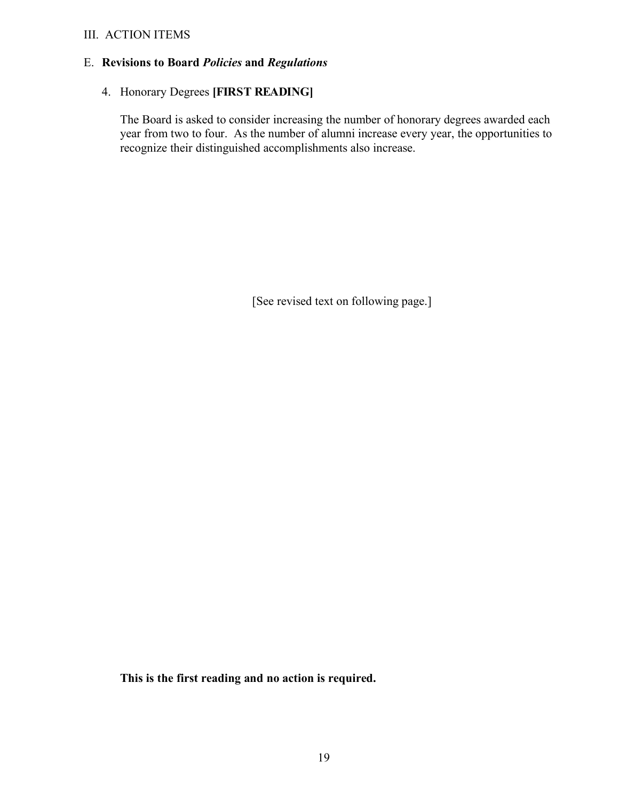## E. **Revisions to Board** *Policies* **and** *Regulations*

## 4. Honorary Degrees **[FIRST READING]**

The Board is asked to consider increasing the number of honorary degrees awarded each year from two to four. As the number of alumni increase every year, the opportunities to recognize their distinguished accomplishments also increase.

[See revised text on following page.]

**This is the first reading and no action is required.**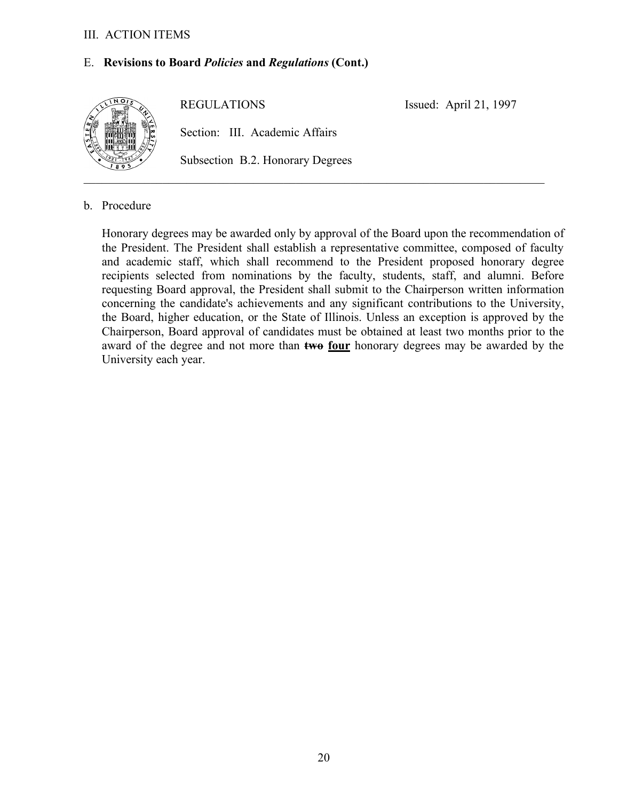## E. **Revisions to Board** *Policies* **and** *Regulations* **(Cont.)**



REGULATIONS

Issued: April 21, 1997

Section: III. Academic Affairs

Subsection B.2. Honorary Degrees

### b. Procedure

Honorary degrees may be awarded only by approval of the Board upon the recommendation of the President. The President shall establish a representative committee, composed of faculty and academic staff, which shall recommend to the President proposed honorary degree recipients selected from nominations by the faculty, students, staff, and alumni. Before requesting Board approval, the President shall submit to the Chairperson written information concerning the candidate's achievements and any significant contributions to the University, the Board, higher education, or the State of Illinois. Unless an exception is approved by the Chairperson, Board approval of candidates must be obtained at least two months prior to the award of the degree and not more than **two four** honorary degrees may be awarded by the University each year.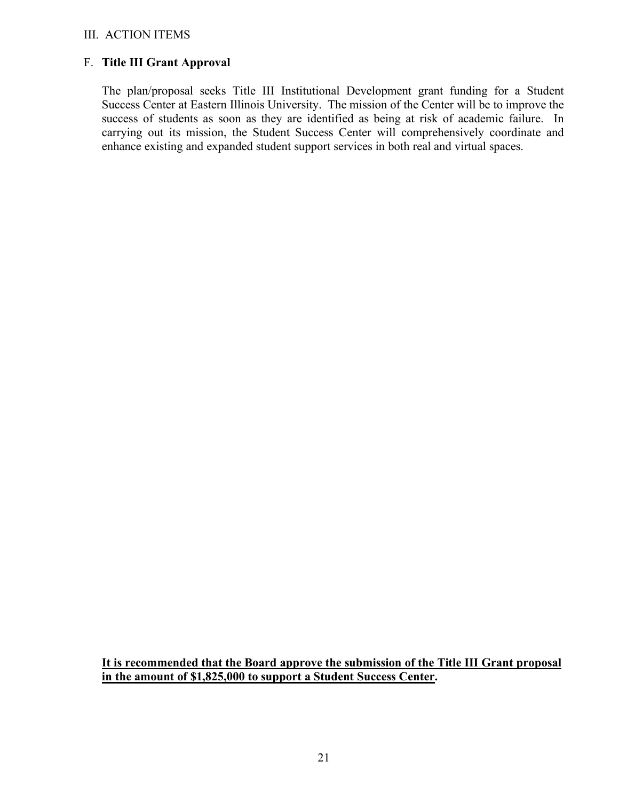### F. **Title III Grant Approval**

The plan/proposal seeks Title III Institutional Development grant funding for a Student Success Center at Eastern Illinois University. The mission of the Center will be to improve the success of students as soon as they are identified as being at risk of academic failure. In carrying out its mission, the Student Success Center will comprehensively coordinate and enhance existing and expanded student support services in both real and virtual spaces.

**It is recommended that the Board approve the submission of the Title III Grant proposal in the amount of \$1,825,000 to support a Student Success Center.**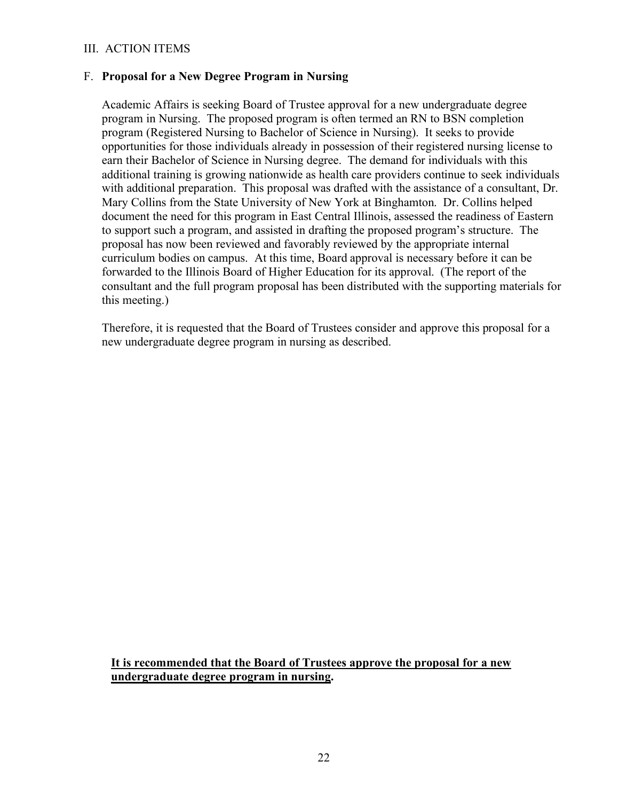### F. **Proposal for a New Degree Program in Nursing**

Academic Affairs is seeking Board of Trustee approval for a new undergraduate degree program in Nursing. The proposed program is often termed an RN to BSN completion program (Registered Nursing to Bachelor of Science in Nursing). It seeks to provide opportunities for those individuals already in possession of their registered nursing license to earn their Bachelor of Science in Nursing degree. The demand for individuals with this additional training is growing nationwide as health care providers continue to seek individuals with additional preparation. This proposal was drafted with the assistance of a consultant, Dr. Mary Collins from the State University of New York at Binghamton. Dr. Collins helped document the need for this program in East Central Illinois, assessed the readiness of Eastern to support such a program, and assisted in drafting the proposed program's structure. The proposal has now been reviewed and favorably reviewed by the appropriate internal curriculum bodies on campus. At this time, Board approval is necessary before it can be forwarded to the Illinois Board of Higher Education for its approval. (The report of the consultant and the full program proposal has been distributed with the supporting materials for this meeting.)

Therefore, it is requested that the Board of Trustees consider and approve this proposal for a new undergraduate degree program in nursing as described.

**It is recommended that the Board of Trustees approve the proposal for a new undergraduate degree program in nursing.**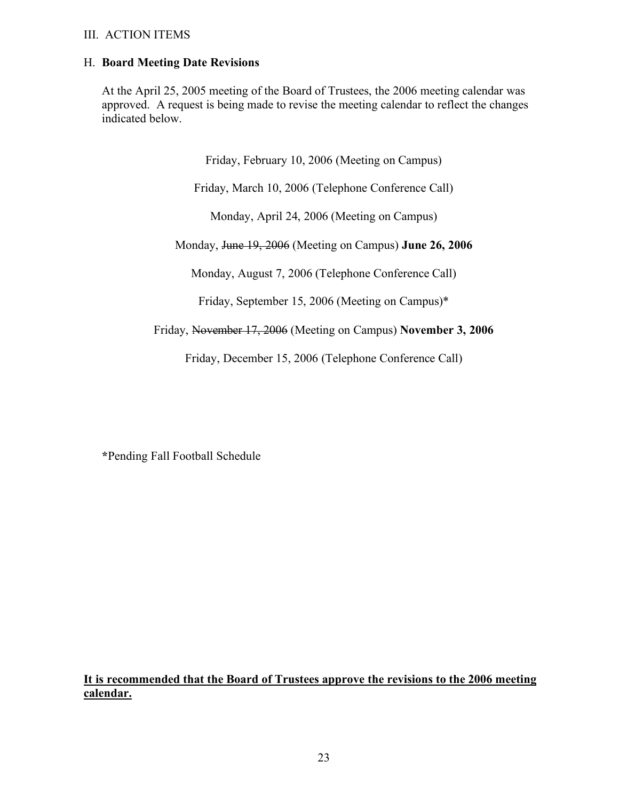## H. **Board Meeting Date Revisions**

At the April 25, 2005 meeting of the Board of Trustees, the 2006 meeting calendar was approved. A request is being made to revise the meeting calendar to reflect the changes indicated below.

Friday, February 10, 2006 (Meeting on Campus)

Friday, March 10, 2006 (Telephone Conference Call)

Monday, April 24, 2006 (Meeting on Campus)

Monday, June 19, 2006 (Meeting on Campus) **June 26, 2006**

Monday, August 7, 2006 (Telephone Conference Call)

Friday, September 15, 2006 (Meeting on Campus)\*

Friday, November 17, 2006 (Meeting on Campus) **November 3, 2006**

Friday, December 15, 2006 (Telephone Conference Call)

**\***Pending Fall Football Schedule

**It is recommended that the Board of Trustees approve the revisions to the 2006 meeting calendar.**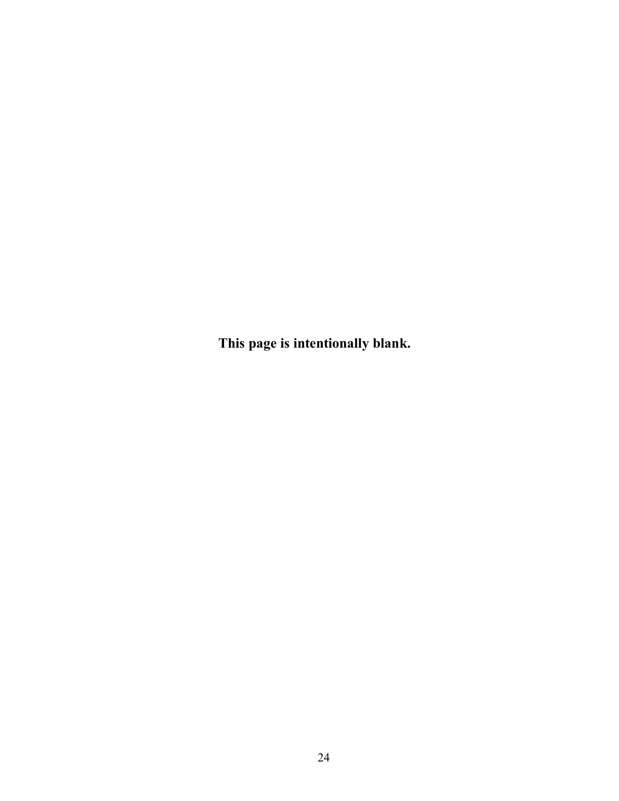**This page is intentionally blank.**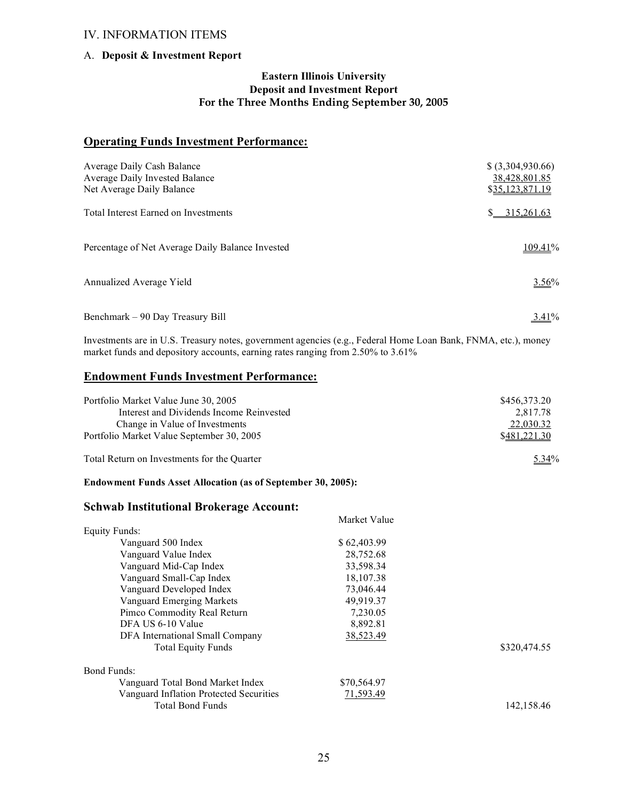#### A. **Deposit & Investment Report**

#### **Eastern Illinois University Deposit and Investment Report For the Three Months Ending September 30, 2005**

## **Operating Funds Investment Performance:**

| Average Daily Cash Balance<br>Average Daily Invested Balance<br>Net Average Daily Balance | \$ (3,304,930.66)<br>38,428,801.85<br>\$35,123,871.19 |
|-------------------------------------------------------------------------------------------|-------------------------------------------------------|
| <b>Total Interest Earned on Investments</b>                                               | \$315,261.63                                          |
| Percentage of Net Average Daily Balance Invested                                          | 109.41%                                               |
| Annualized Average Yield                                                                  | 3.56%                                                 |
| Benchmark - 90 Day Treasury Bill                                                          | 3.41%                                                 |

Investments are in U.S. Treasury notes, government agencies (e.g., Federal Home Loan Bank, FNMA, etc.), money market funds and depository accounts, earning rates ranging from 2.50% to 3.61%

#### **Endowment Funds Investment Performance:**

| Portfolio Market Value June 30, 2005        | \$456,373.20 |
|---------------------------------------------|--------------|
| Interest and Dividends Income Reinvested    | 2.817.78     |
| Change in Value of Investments              | 22,030.32    |
| Portfolio Market Value September 30, 2005   | \$481,221.30 |
| Total Return on Investments for the Quarter | 5.34%        |

#### **Endowment Funds Asset Allocation (as of September 30, 2005):**

#### **Schwab Institutional Brokerage Account:**

|                                         | Market Value |              |
|-----------------------------------------|--------------|--------------|
| Equity Funds:                           |              |              |
| Vanguard 500 Index                      | \$62,403.99  |              |
| Vanguard Value Index                    | 28,752.68    |              |
| Vanguard Mid-Cap Index                  | 33,598.34    |              |
| Vanguard Small-Cap Index                | 18,107.38    |              |
| Vanguard Developed Index                | 73,046.44    |              |
| <b>Vanguard Emerging Markets</b>        | 49,919.37    |              |
| Pimco Commodity Real Return             | 7,230.05     |              |
| DFA US 6-10 Value                       | 8,892.81     |              |
| DFA International Small Company         | 38,523.49    |              |
| <b>Total Equity Funds</b>               |              | \$320,474.55 |
| Bond Funds:                             |              |              |
| Vanguard Total Bond Market Index        | \$70,564.97  |              |
| Vanguard Inflation Protected Securities | 71,593.49    |              |
| <b>Total Bond Funds</b>                 |              | 142,158.46   |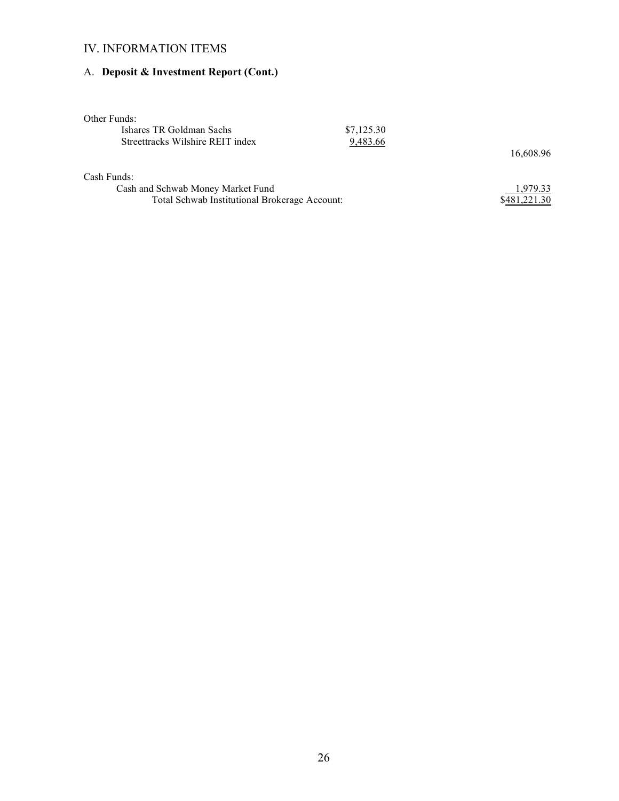# A. **Deposit & Investment Report (Cont.)**

|  | Other Funds: |
|--|--------------|
|--|--------------|

| Ishares TR Goldman Sachs         | \$7,125.30 |
|----------------------------------|------------|
| Streettracks Wilshire REIT index | 9.483.66   |

16,608.96

## Cash Funds:

| Cash and Schwab Money Market Fund             | 1.979.33     |
|-----------------------------------------------|--------------|
| Total Schwab Institutional Brokerage Account: | \$481.221.30 |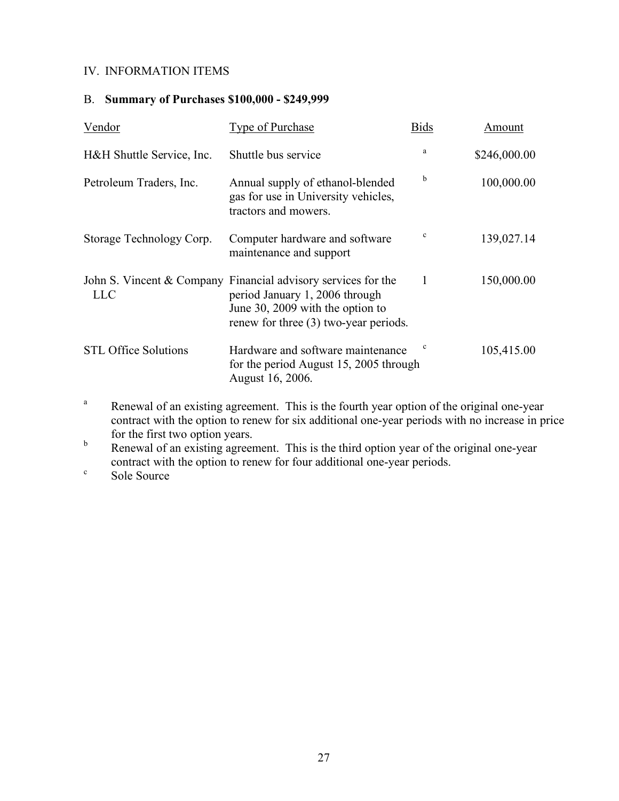## B. **Summary of Purchases \$100,000 - \$249,999**

| <u>Vendor</u>               | <b>Type of Purchase</b>                                                                                                                                                        | <b>Bids</b> | Amount       |
|-----------------------------|--------------------------------------------------------------------------------------------------------------------------------------------------------------------------------|-------------|--------------|
| H&H Shuttle Service, Inc.   | Shuttle bus service                                                                                                                                                            | a           | \$246,000.00 |
| Petroleum Traders, Inc.     | Annual supply of ethanol-blended<br>gas for use in University vehicles,<br>tractors and mowers.                                                                                | b           | 100,000.00   |
| Storage Technology Corp.    | Computer hardware and software<br>maintenance and support                                                                                                                      | $\mathbf c$ | 139,027.14   |
| <b>LLC</b>                  | John S. Vincent $& Company$ Financial advisory services for the<br>period January 1, 2006 through<br>June 30, 2009 with the option to<br>renew for three (3) two-year periods. | 1           | 150,000.00   |
| <b>STL Office Solutions</b> | Hardware and software maintenance<br>for the period August 15, 2005 through<br>August 16, 2006.                                                                                |             | 105,415.00   |

<sup>&</sup>lt;sup>a</sup> Renewal of an existing agreement. This is the fourth year option of the original one-year contract with the option to renew for six additional one-year periods with no increase in price

for the first two option years.<br>Renewal of an existing agreement. This is the third option year of the original one-year contract with the option to renew for four additional one-year periods.<br>Sole Source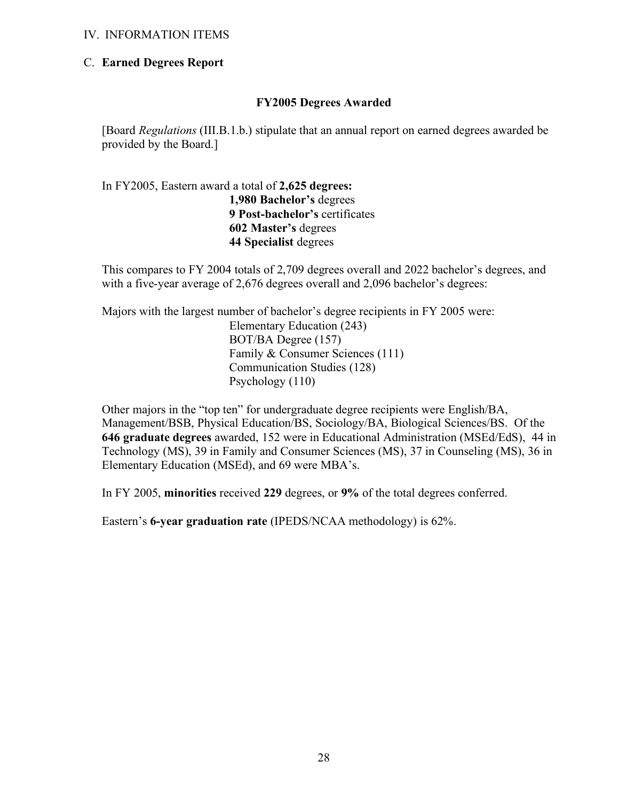## C. **Earned Degrees Report**

## **FY2005 Degrees Awarded**

[Board *Regulations* (III.B.1.b.) stipulate that an annual report on earned degrees awarded be provided by the Board.]

In FY2005, Eastern award a total of **2,625 degrees: 1,980 Bachelor's** degrees **9 Post-bachelor's** certificates **602 Master's** degrees **44 Specialist** degrees

This compares to FY 2004 totals of 2,709 degrees overall and 2022 bachelor's degrees, and with a five-year average of 2,676 degrees overall and 2,096 bachelor's degrees:

Majors with the largest number of bachelor's degree recipients in FY 2005 were:

Elementary Education (243) BOT/BA Degree (157) Family & Consumer Sciences (111) Communication Studies (128) Psychology (110)

Other majors in the "top ten" for undergraduate degree recipients were English/BA, Management/BSB, Physical Education/BS, Sociology/BA, Biological Sciences/BS. Of the **646 graduate degrees** awarded, 152 were in Educational Administration (MSEd/EdS), 44 in Technology (MS), 39 in Family and Consumer Sciences (MS), 37 in Counseling (MS), 36 in Elementary Education (MSEd), and 69 were MBA's.

In FY 2005, **minorities** received **229** degrees, or **9%** of the total degrees conferred.

Eastern's **6-year graduation rate** (IPEDS/NCAA methodology) is 62%.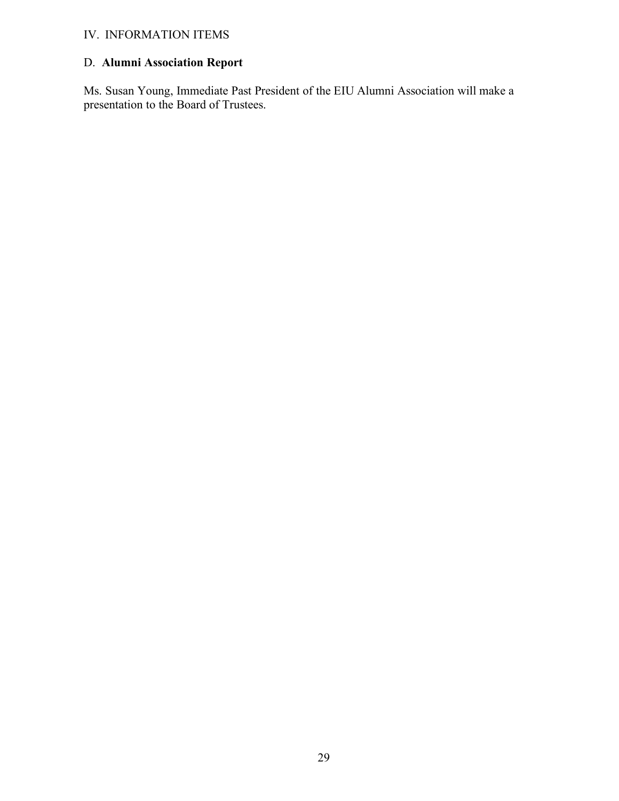# D. **Alumni Association Report**

Ms. Susan Young, Immediate Past President of the EIU Alumni Association will make a presentation to the Board of Trustees.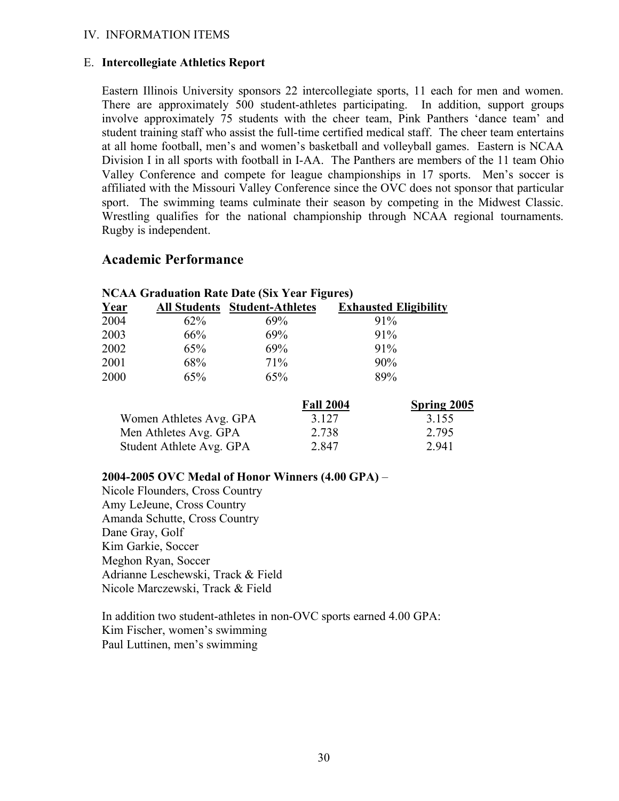### E. **Intercollegiate Athletics Report**

Eastern Illinois University sponsors 22 intercollegiate sports, 11 each for men and women. There are approximately 500 student-athletes participating. In addition, support groups involve approximately 75 students with the cheer team, Pink Panthers 'dance team' and student training staff who assist the full-time certified medical staff. The cheer team entertains at all home football, men's and women's basketball and volleyball games. Eastern is NCAA Division I in all sports with football in I-AA. The Panthers are members of the 11 team Ohio Valley Conference and compete for league championships in 17 sports. Men's soccer is affiliated with the Missouri Valley Conference since the OVC does not sponsor that particular sport. The swimming teams culminate their season by competing in the Midwest Classic. Wrestling qualifies for the national championship through NCAA regional tournaments. Rugby is independent.

## **Academic Performance**

| Year |     | <b>All Students Student-Athletes</b> | <b>Exhausted Eligibility</b> |
|------|-----|--------------------------------------|------------------------------|
| 2004 | 62% | 69%                                  | 91%                          |
| 2003 | 66% | 69%                                  | 91%                          |
| 2002 | 65% | 69%                                  | 91%                          |
| 2001 | 68% | 71%                                  | 90%                          |
| 2000 | 65% | 65%                                  | 89%                          |
|      |     |                                      |                              |

| <b>NCAA Graduation Rate Date (Six Year Figures)</b> |  |  |  |  |  |
|-----------------------------------------------------|--|--|--|--|--|
|-----------------------------------------------------|--|--|--|--|--|

|                          | <b>Fall 2004</b> | <b>Spring 2005</b> |
|--------------------------|------------------|--------------------|
| Women Athletes Avg. GPA  | 3 1 2 7          | 3.155              |
| Men Athletes Avg. GPA    | 2.738            | 2 7 9 5            |
| Student Athlete Avg. GPA | 2847             | 2941               |

#### **2004-2005 OVC Medal of Honor Winners (4.00 GPA)** –

Nicole Flounders, Cross Country Amy LeJeune, Cross Country Amanda Schutte, Cross Country Dane Gray, Golf Kim Garkie, Soccer Meghon Ryan, Soccer Adrianne Leschewski, Track & Field Nicole Marczewski, Track & Field

In addition two student-athletes in non-OVC sports earned 4.00 GPA: Kim Fischer, women's swimming Paul Luttinen, men's swimming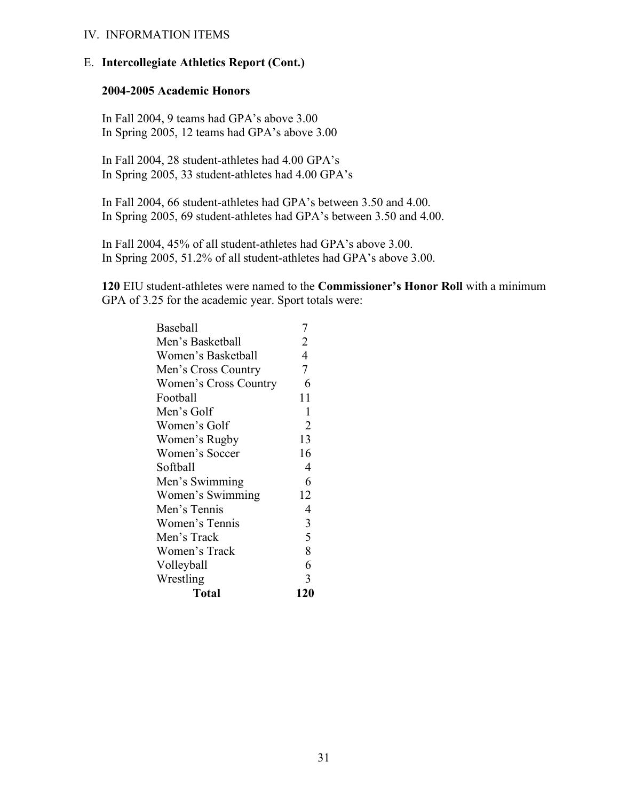## E. **Intercollegiate Athletics Report (Cont.)**

## **2004-2005 Academic Honors**

In Fall 2004, 9 teams had GPA's above 3.00 In Spring 2005, 12 teams had GPA's above 3.00

In Fall 2004, 28 student-athletes had 4.00 GPA's In Spring 2005, 33 student-athletes had 4.00 GPA's

In Fall 2004, 66 student-athletes had GPA's between 3.50 and 4.00. In Spring 2005, 69 student-athletes had GPA's between 3.50 and 4.00.

In Fall 2004, 45% of all student-athletes had GPA's above 3.00. In Spring 2005, 51.2% of all student-athletes had GPA's above 3.00.

**120** EIU student-athletes were named to the **Commissioner's Honor Roll** with a minimum GPA of 3.25 for the academic year. Sport totals were:

| Baseball              | 7              |
|-----------------------|----------------|
| Men's Basketball      | 2              |
| Women's Basketball    | 4              |
| Men's Cross Country   | 7              |
| Women's Cross Country | 6              |
| Football              | 11             |
| Men's Golf            | 1              |
| Women's Golf          | $\overline{2}$ |
| Women's Rugby         | 13             |
| Women's Soccer        | 16             |
| Softball              | 4              |
| Men's Swimming        | 6              |
| Women's Swimming      | 12             |
| Men's Tennis          | $\overline{4}$ |
| Women's Tennis        | $\mathfrak{Z}$ |
| Men's Track           | 5              |
| Women's Track         | 8              |
| Volleyball            | 6              |
| Wrestling             | 3              |
| <b>Total</b>          | 120            |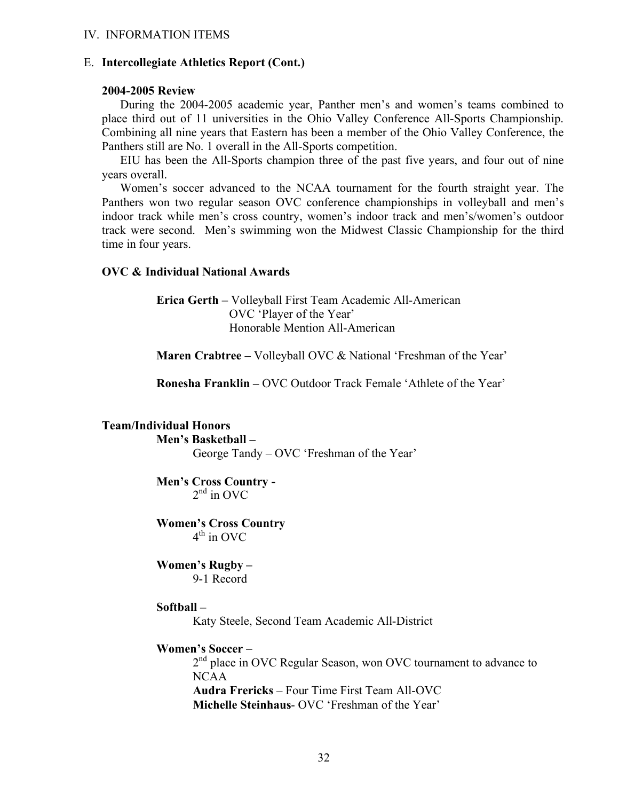#### E. **Intercollegiate Athletics Report (Cont.)**

#### **2004-2005 Review**

During the 2004-2005 academic year, Panther men's and women's teams combined to place third out of 11 universities in the Ohio Valley Conference All-Sports Championship. Combining all nine years that Eastern has been a member of the Ohio Valley Conference, the Panthers still are No. 1 overall in the All-Sports competition.

EIU has been the All-Sports champion three of the past five years, and four out of nine years overall.

Women's soccer advanced to the NCAA tournament for the fourth straight year. The Panthers won two regular season OVC conference championships in volleyball and men's indoor track while men's cross country, women's indoor track and men's/women's outdoor track were second. Men's swimming won the Midwest Classic Championship for the third time in four years.

#### **OVC & Individual National Awards**

**Erica Gerth –** Volleyball First Team Academic All-American OVC 'Player of the Year' Honorable Mention All-American

**Maren Crabtree –** Volleyball OVC & National 'Freshman of the Year'

**Ronesha Franklin –** OVC Outdoor Track Female 'Athlete of the Year'

#### **Team/Individual Honors**

#### **Men's Basketball –**

George Tandy – OVC 'Freshman of the Year'

### **Men's Cross Country -**  $2^{nd}$  in OVC

**Women's Cross Country**  $4<sup>th</sup>$  in OVC

**Women's Rugby –** 9-1 Record

### **Softball –**

Katy Steele, Second Team Academic All-District

#### **Women's Soccer** –

2<sup>nd</sup> place in OVC Regular Season, won OVC tournament to advance to NCAA **Audra Frericks** – Four Time First Team All-OVC **Michelle Steinhaus**- OVC 'Freshman of the Year'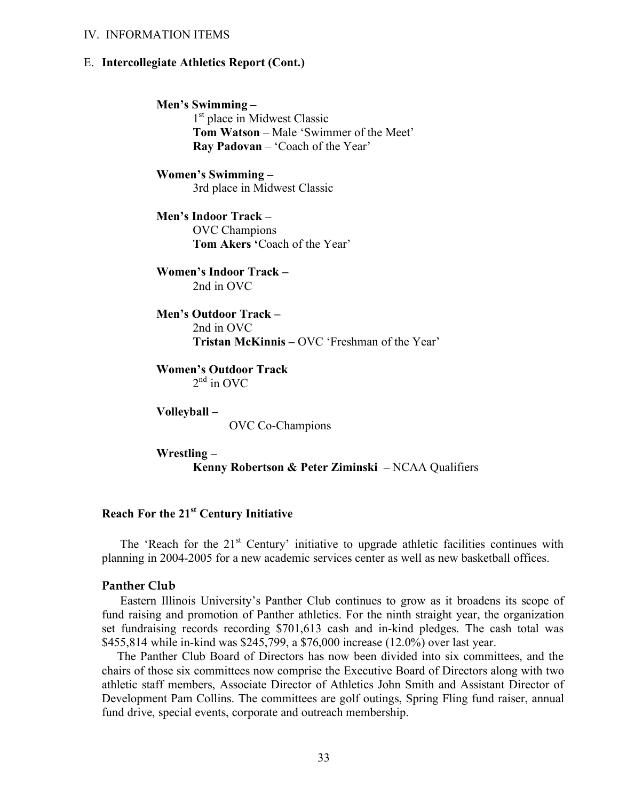#### E. **Intercollegiate Athletics Report (Cont.)**

**Men's Swimming –**

1<sup>st</sup> place in Midwest Classic **Tom Watson** – Male 'Swimmer of the Meet' **Ray Padovan** – 'Coach of the Year'

**Women's Swimming –** 3rd place in Midwest Classic

**Men's Indoor Track –** OVC Champions **Tom Akers '**Coach of the Year'

**Women's Indoor Track –** 2nd in OVC

**Men's Outdoor Track –** 2nd in OVC **Tristan McKinnis –** OVC 'Freshman of the Year'

**Women's Outdoor Track**  $2<sup>nd</sup>$  in OVC

**Volleyball –**

OVC Co-Champions

**Wrestling – Kenny Robertson & Peter Ziminski –** NCAA Qualifiers

## **Reach For the 21st Century Initiative**

The 'Reach for the  $21<sup>st</sup>$  Century' initiative to upgrade athletic facilities continues with planning in 2004-2005 for a new academic services center as well as new basketball offices.

#### **Panther Club**

Eastern Illinois University's Panther Club continues to grow as it broadens its scope of fund raising and promotion of Panther athletics. For the ninth straight year, the organization set fundraising records recording \$701,613 cash and in-kind pledges. The cash total was \$455,814 while in-kind was \$245,799, a \$76,000 increase (12.0%) over last year.

The Panther Club Board of Directors has now been divided into six committees, and the chairs of those six committees now comprise the Executive Board of Directors along with two athletic staff members, Associate Director of Athletics John Smith and Assistant Director of Development Pam Collins. The committees are golf outings, Spring Fling fund raiser, annual fund drive, special events, corporate and outreach membership.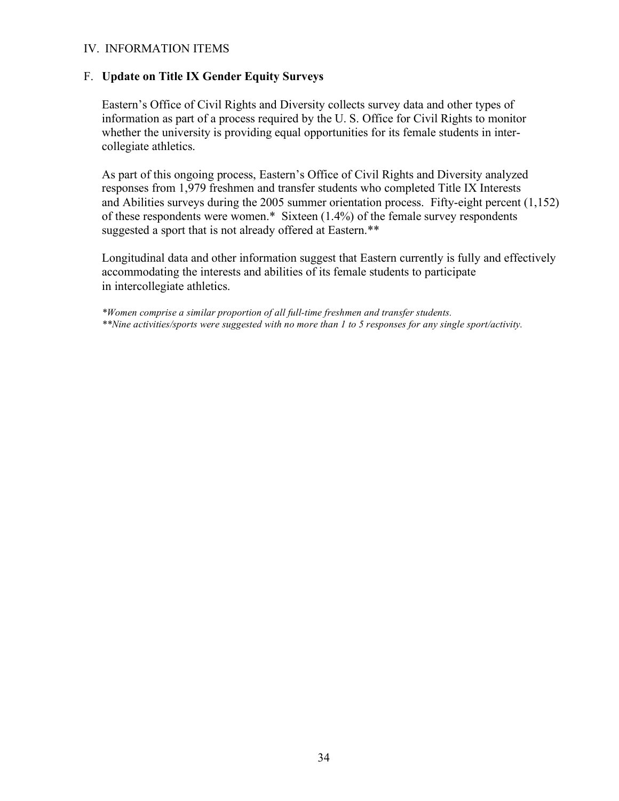## F. **Update on Title IX Gender Equity Surveys**

Eastern's Office of Civil Rights and Diversity collects survey data and other types of information as part of a process required by the U. S. Office for Civil Rights to monitor whether the university is providing equal opportunities for its female students in intercollegiate athletics.

As part of this ongoing process, Eastern's Office of Civil Rights and Diversity analyzed responses from 1,979 freshmen and transfer students who completed Title IX Interests and Abilities surveys during the 2005 summer orientation process. Fifty-eight percent (1,152) of these respondents were women.\* Sixteen (1.4%) of the female survey respondents suggested a sport that is not already offered at Eastern.\*\*

Longitudinal data and other information suggest that Eastern currently is fully and effectively accommodating the interests and abilities of its female students to participate in intercollegiate athletics.

*\*Women comprise a similar proportion of all full-time freshmen and transfer students. \*\*Nine activities/sports were suggested with no more than 1 to 5 responses for any single sport/activity.*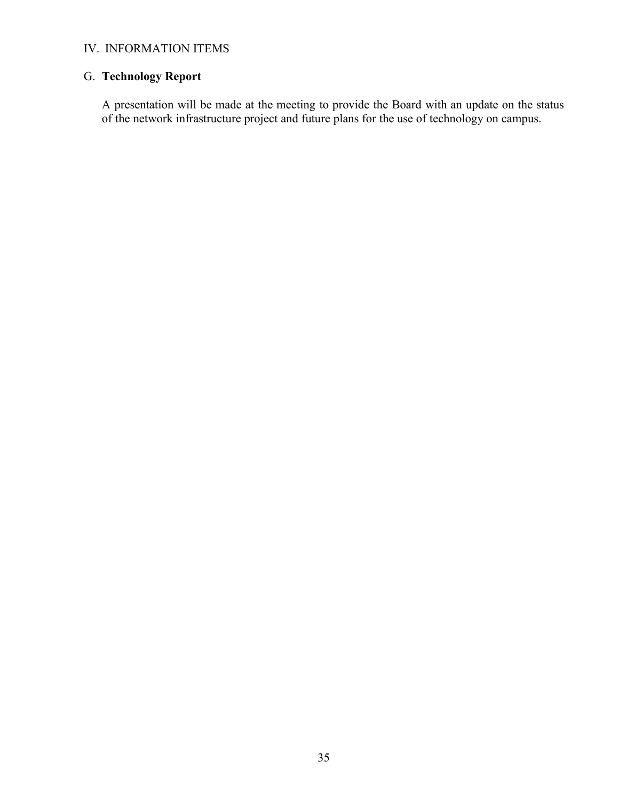# G. **Technology Report**

A presentation will be made at the meeting to provide the Board with an update on the status of the network infrastructure project and future plans for the use of technology on campus.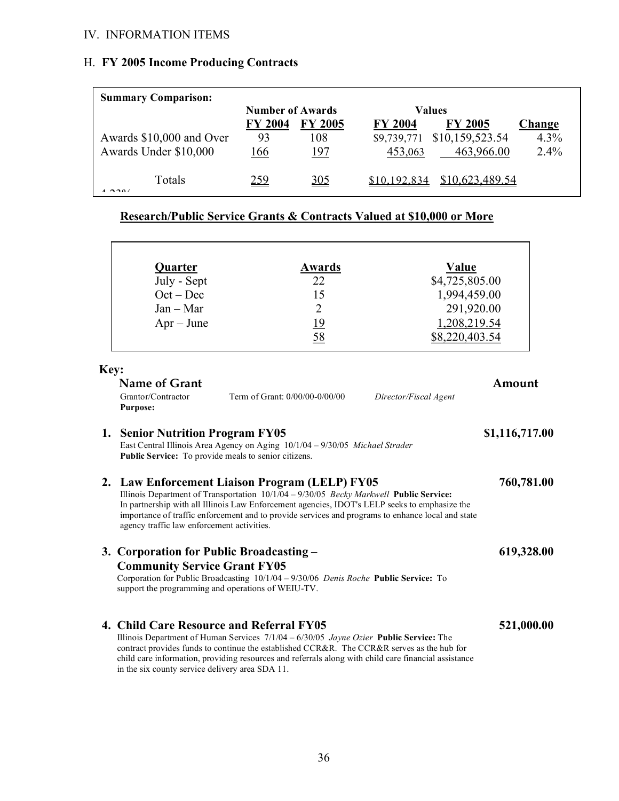### H. **FY 2005 Income Producing Contracts**

| <b>Summary Comparison:</b> |                         |                |                                                   |
|----------------------------|-------------------------|----------------|---------------------------------------------------|
|                            | <b>Number of Awards</b> |                | <b>Values</b>                                     |
|                            | <b>FY 2004</b>          | <b>FY 2005</b> | <b>FY 2004</b><br><b>FY 2005</b><br><b>Change</b> |
| Awards \$10,000 and Over   | 93                      | 108            | \$10,159,523.54<br>4.3%<br>\$9,739,771            |
| Awards Under \$10,000      | 166                     | 197            | 2.4%<br>463,966.00<br>453,063                     |
| Totals<br>1.2201           | <u> 259</u>             | <u>305</u>     | \$10,623,489.54<br>\$10,192,834                   |

### **Research/Public Service Grants & Contracts Valued at \$10,000 or More**

| Quarter       | Awards         | Value          |
|---------------|----------------|----------------|
| July - Sept   | 22             | \$4,725,805.00 |
| $Oct - Dec$   | 15             | 1,994,459.00   |
| $Jan - Mar$   | $\overline{2}$ | 291,920.00     |
| $Apr - June$  | <u> 19</u>     | 1,208,219.54   |
|               | <u>58</u>      | \$8,220,403.54 |
|               |                |                |
| Name of Grant |                | Amount         |

Grantor/Contractor Term of Grant: 0/00/00-0/00/00 *Director/Fiscal Agent* **Purpose:**

#### **1. Senior Nutrition Program FY05 \$1,116,717.00** East Central Illinois Area Agency on Aging 10/1/04 – 9/30/05 *Michael Strader* **Public Service:** To provide meals to senior citizens.

#### **2. Law Enforcement Liaison Program (LELP) FY05 760,781.00** Illinois Department of Transportation 10/1/04 – 9/30/05 *Becky Markwell* **Public Service:** In partnership with all Illinois Law Enforcement agencies, IDOT's LELP seeks to emphasize the importance of traffic enforcement and to provide services and programs to enhance local and state agency traffic law enforcement activities.

# **3. Corporation for Public Broadcasting – 619,328.00 Community Service Grant FY05**

Corporation for Public Broadcasting 10/1/04 – 9/30/06 *Denis Roche* **Public Service:** To support the programming and operations of WEIU-TV.

# **4. Child Care Resource and Referral FY05 521,000.00**

Illinois Department of Human Services 7/1/04 – 6/30/05 *Jayne Ozier* **Public Service:** The contract provides funds to continue the established CCR&R. The CCR&R serves as the hub for child care information, providing resources and referrals along with child care financial assistance in the six county service delivery area SDA 11.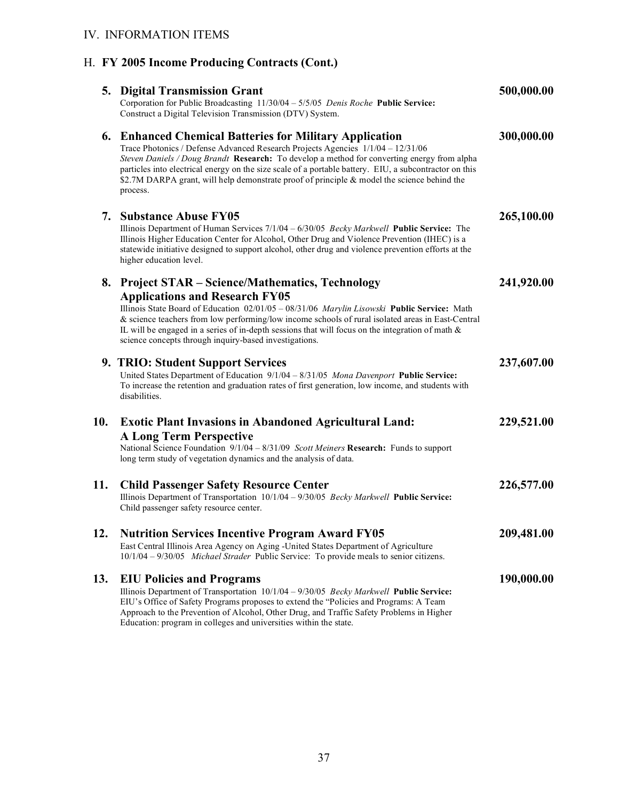| 5.  | <b>Digital Transmission Grant</b><br>Corporation for Public Broadcasting 11/30/04 - 5/5/05 Denis Roche Public Service:<br>Construct a Digital Television Transmission (DTV) System.                                                                                                                                                                                                                                                                                 | 500,000.00 |
|-----|---------------------------------------------------------------------------------------------------------------------------------------------------------------------------------------------------------------------------------------------------------------------------------------------------------------------------------------------------------------------------------------------------------------------------------------------------------------------|------------|
| 6.  | <b>Enhanced Chemical Batteries for Military Application</b><br>Trace Photonics / Defense Advanced Research Projects Agencies 1/1/04 - 12/31/06<br>Steven Daniels / Doug Brandt Research: To develop a method for converting energy from alpha<br>particles into electrical energy on the size scale of a portable battery. EIU, a subcontractor on this<br>\$2.7M DARPA grant, will help demonstrate proof of principle & model the science behind the<br>process.  | 300,000.00 |
| 7.  | <b>Substance Abuse FY05</b><br>Illinois Department of Human Services 7/1/04 - 6/30/05 Becky Markwell Public Service: The<br>Illinois Higher Education Center for Alcohol, Other Drug and Violence Prevention (IHEC) is a<br>statewide initiative designed to support alcohol, other drug and violence prevention efforts at the<br>higher education level.                                                                                                          | 265,100.00 |
| 8.  | <b>Project STAR – Science/Mathematics, Technology</b><br><b>Applications and Research FY05</b><br>Illinois State Board of Education 02/01/05 - 08/31/06 Marylin Lisowski Public Service: Math<br>& science teachers from low performing/low income schools of rural isolated areas in East-Central<br>IL will be engaged in a series of in-depth sessions that will focus on the integration of math $\&$<br>science concepts through inquiry-based investigations. | 241,920.00 |
|     | 9. TRIO: Student Support Services<br>United States Department of Education 9/1/04 - 8/31/05 Mona Davenport Public Service:<br>To increase the retention and graduation rates of first generation, low income, and students with<br>disabilities.                                                                                                                                                                                                                    | 237,607.00 |
| 10. | <b>Exotic Plant Invasions in Abandoned Agricultural Land:</b><br><b>A Long Term Perspective</b><br>National Science Foundation 9/1/04 - 8/31/09 Scott Meiners Research: Funds to support<br>long term study of vegetation dynamics and the analysis of data.                                                                                                                                                                                                        | 229,521.00 |
| 11. | <b>Child Passenger Safety Resource Center</b><br>Illinois Department of Transportation 10/1/04 - 9/30/05 Becky Markwell Public Service:<br>Child passenger safety resource center.                                                                                                                                                                                                                                                                                  | 226,577.00 |
| 12. | <b>Nutrition Services Incentive Program Award FY05</b><br>East Central Illinois Area Agency on Aging -United States Department of Agriculture<br>10/1/04 - 9/30/05 Michael Strader Public Service: To provide meals to senior citizens.                                                                                                                                                                                                                             | 209,481.00 |
| 13. | <b>EIU Policies and Programs</b><br>Illinois Department of Transportation 10/1/04 - 9/30/05 Becky Markwell Public Service:<br>EIU's Office of Safety Programs proposes to extend the "Policies and Programs: A Team<br>Approach to the Prevention of Alcohol, Other Drug, and Traffic Safety Problems in Higher<br>Education: program in colleges and universities within the state.                                                                                | 190,000.00 |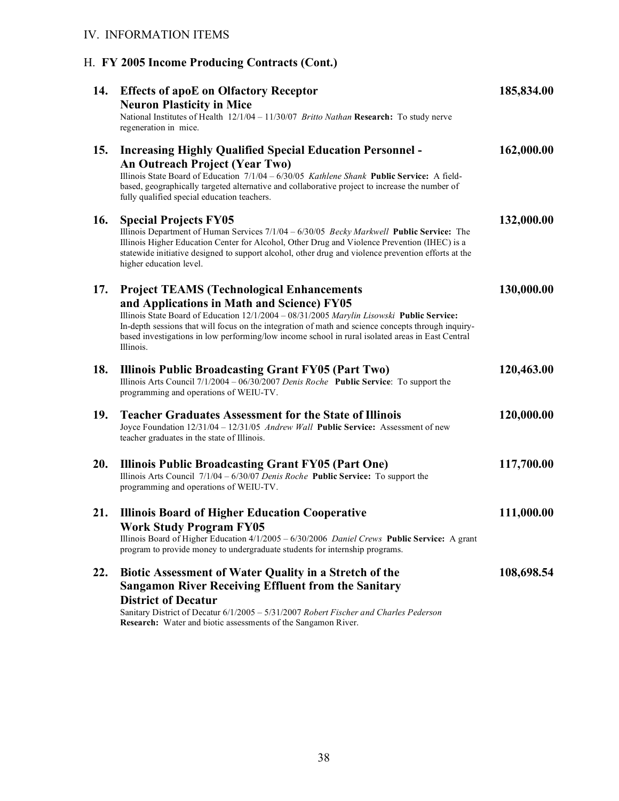| 14. | <b>Effects of apoE on Olfactory Receptor</b><br><b>Neuron Plasticity in Mice</b><br>National Institutes of Health 12/1/04 - 11/30/07 Britto Nathan Research: To study nerve<br>regeneration in mice.                                                                                                                                                                                                               | 185,834.00 |
|-----|--------------------------------------------------------------------------------------------------------------------------------------------------------------------------------------------------------------------------------------------------------------------------------------------------------------------------------------------------------------------------------------------------------------------|------------|
| 15. | <b>Increasing Highly Qualified Special Education Personnel -</b><br><b>An Outreach Project (Year Two)</b><br>Illinois State Board of Education 7/1/04 - 6/30/05 Kathlene Shank Public Service: A field-<br>based, geographically targeted alternative and collaborative project to increase the number of<br>fully qualified special education teachers.                                                           | 162,000.00 |
| 16. | <b>Special Projects FY05</b><br>Illinois Department of Human Services 7/1/04 - 6/30/05 Becky Markwell Public Service: The<br>Illinois Higher Education Center for Alcohol, Other Drug and Violence Prevention (IHEC) is a<br>statewide initiative designed to support alcohol, other drug and violence prevention efforts at the<br>higher education level.                                                        | 132,000.00 |
| 17. | <b>Project TEAMS (Technological Enhancements</b><br>and Applications in Math and Science) FY05<br>Illinois State Board of Education 12/1/2004 - 08/31/2005 Marylin Lisowski Public Service:<br>In-depth sessions that will focus on the integration of math and science concepts through inquiry-<br>based investigations in low performing/low income school in rural isolated areas in East Central<br>Illinois. | 130,000.00 |
| 18. | Illinois Public Broadcasting Grant FY05 (Part Two)<br>Illinois Arts Council $7/1/2004 - 06/30/2007$ Denis Roche <b>Public Service</b> : To support the<br>programming and operations of WEIU-TV.                                                                                                                                                                                                                   | 120,463.00 |
| 19. | <b>Teacher Graduates Assessment for the State of Illinois</b><br>Joyce Foundation 12/31/04 - 12/31/05 Andrew Wall Public Service: Assessment of new<br>teacher graduates in the state of Illinois.                                                                                                                                                                                                                 | 120,000.00 |
| 20. | <b>Illinois Public Broadcasting Grant FY05 (Part One)</b><br>Illinois Arts Council $7/1/04 - 6/30/07$ Denis Roche Public Service: To support the<br>programming and operations of WEIU-TV.                                                                                                                                                                                                                         | 117,700.00 |
| 21. | <b>Illinois Board of Higher Education Cooperative</b><br><b>Work Study Program FY05</b><br>Illinois Board of Higher Education 4/1/2005 - 6/30/2006 Daniel Crews Public Service: A grant<br>program to provide money to undergraduate students for internship programs.                                                                                                                                             | 111,000.00 |
| 22. | <b>Biotic Assessment of Water Quality in a Stretch of the</b><br><b>Sangamon River Receiving Effluent from the Sanitary</b><br><b>District of Decatur</b><br>Sanitary District of Decatur 6/1/2005 - 5/31/2007 Robert Fischer and Charles Pederson<br>Research: Water and biotic assessments of the Sangamon River.                                                                                                | 108,698.54 |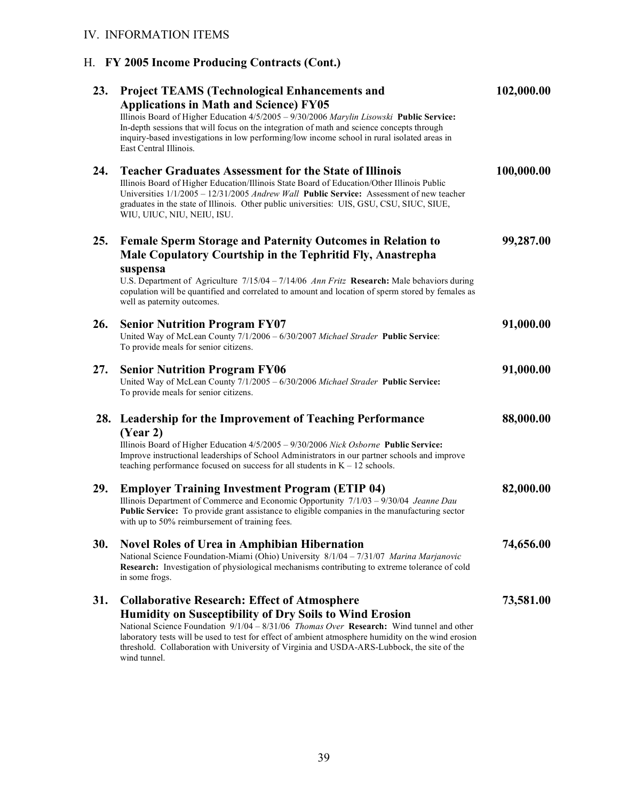wind tunnel.

| 23. | <b>Project TEAMS (Technological Enhancements and</b><br><b>Applications in Math and Science) FY05</b><br>Illinois Board of Higher Education $4/5/2005 - 9/30/2006$ Marylin Lisowski Public Service:<br>In-depth sessions that will focus on the integration of math and science concepts through<br>inquiry-based investigations in low performing/low income school in rural isolated areas in<br>East Central Illinois. | 102,000.00 |
|-----|---------------------------------------------------------------------------------------------------------------------------------------------------------------------------------------------------------------------------------------------------------------------------------------------------------------------------------------------------------------------------------------------------------------------------|------------|
| 24. | <b>Teacher Graduates Assessment for the State of Illinois</b><br>Illinois Board of Higher Education/Illinois State Board of Education/Other Illinois Public<br>Universities $1/1/2005 - 12/31/2005$ <i>Andrew Wall</i> <b>Public Service:</b> Assessment of new teacher<br>graduates in the state of Illinois. Other public universities: UIS, GSU, CSU, SIUC, SIUE,<br>WIU, UIUC, NIU, NEIU, ISU.                        | 100,000.00 |
| 25. | <b>Female Sperm Storage and Paternity Outcomes in Relation to</b><br>Male Copulatory Courtship in the Tephritid Fly, Anastrepha<br>suspensa<br>U.S. Department of Agriculture $7/15/04 - 7/14/06$ Ann Fritz Research: Male behaviors during<br>copulation will be quantified and correlated to amount and location of sperm stored by females as<br>well as paternity outcomes.                                           | 99,287.00  |
| 26. | <b>Senior Nutrition Program FY07</b><br>United Way of McLean County 7/1/2006 - 6/30/2007 Michael Strader Public Service:<br>To provide meals for senior citizens.                                                                                                                                                                                                                                                         | 91,000.00  |
| 27. | <b>Senior Nutrition Program FY06</b><br>United Way of McLean County 7/1/2005 - 6/30/2006 Michael Strader Public Service:<br>To provide meals for senior citizens.                                                                                                                                                                                                                                                         | 91,000.00  |
|     | 28. Leadership for the Improvement of Teaching Performance<br>(Year 2)<br>Illinois Board of Higher Education 4/5/2005 - 9/30/2006 Nick Osborne Public Service:<br>Improve instructional leaderships of School Administrators in our partner schools and improve<br>teaching performance focused on success for all students in $K - 12$ schools.                                                                          | 88,000.00  |
| 29. | <b>Employer Training Investment Program (ETIP 04)</b><br>Illinois Department of Commerce and Economic Opportunity $7/1/03 - 9/30/04$ Jeanne Dau<br>Public Service: To provide grant assistance to eligible companies in the manufacturing sector<br>with up to 50% reimbursement of training fees.                                                                                                                        | 82,000.00  |
| 30. | <b>Novel Roles of Urea in Amphibian Hibernation</b><br>National Science Foundation-Miami (Ohio) University 8/1/04 - 7/31/07 Marina Marjanovic<br><b>Research:</b> Investigation of physiological mechanisms contributing to extreme tolerance of cold<br>in some frogs.                                                                                                                                                   | 74,656.00  |
| 31. | <b>Collaborative Research: Effect of Atmosphere</b><br><b>Humidity on Susceptibility of Dry Soils to Wind Erosion</b><br>National Science Foundation 9/1/04 - 8/31/06 Thomas Over Research: Wind tunnel and other<br>laboratory tests will be used to test for effect of ambient atmosphere humidity on the wind erosion<br>threshold. Collaboration with University of Virginia and USDA-ARS-Lubbock, the site of the    | 73,581.00  |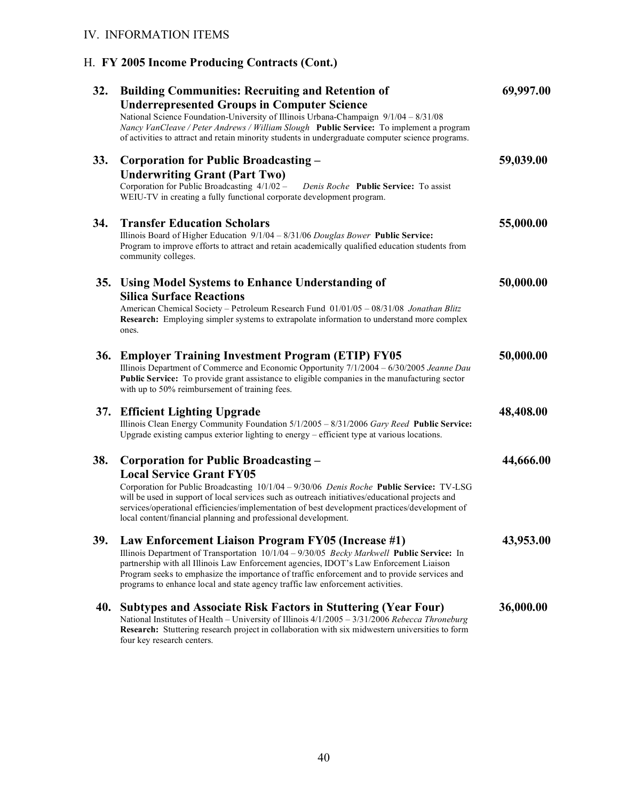| 32. | <b>Building Communities: Recruiting and Retention of</b><br><b>Underrepresented Groups in Computer Science</b>                                                                                                                                                                                                                                                                                                                             | 69,997.00 |
|-----|--------------------------------------------------------------------------------------------------------------------------------------------------------------------------------------------------------------------------------------------------------------------------------------------------------------------------------------------------------------------------------------------------------------------------------------------|-----------|
|     | National Science Foundation-University of Illinois Urbana-Champaign 9/1/04 - 8/31/08<br>Nancy VanCleave / Peter Andrews / William Slough Public Service: To implement a program<br>of activities to attract and retain minority students in undergraduate computer science programs.                                                                                                                                                       |           |
| 33. | Corporation for Public Broadcasting -                                                                                                                                                                                                                                                                                                                                                                                                      | 59,039.00 |
|     | <b>Underwriting Grant (Part Two)</b><br>Corporation for Public Broadcasting 4/1/02 -<br>Denis Roche Public Service: To assist<br>WEIU-TV in creating a fully functional corporate development program.                                                                                                                                                                                                                                     |           |
| 34. | <b>Transfer Education Scholars</b><br>Illinois Board of Higher Education 9/1/04 - 8/31/06 Douglas Bower Public Service:<br>Program to improve efforts to attract and retain academically qualified education students from<br>community colleges.                                                                                                                                                                                          | 55,000.00 |
| 35. | <b>Using Model Systems to Enhance Understanding of</b><br><b>Silica Surface Reactions</b>                                                                                                                                                                                                                                                                                                                                                  | 50,000.00 |
|     | American Chemical Society - Petroleum Research Fund 01/01/05 - 08/31/08 Jonathan Blitz<br><b>Research:</b> Employing simpler systems to extrapolate information to understand more complex<br>ones.                                                                                                                                                                                                                                        |           |
| 36. | <b>Employer Training Investment Program (ETIP) FY05</b><br>Illinois Department of Commerce and Economic Opportunity 7/1/2004 - 6/30/2005 Jeanne Dau<br>Public Service: To provide grant assistance to eligible companies in the manufacturing sector<br>with up to 50% reimbursement of training fees.                                                                                                                                     | 50,000.00 |
|     | 37. Efficient Lighting Upgrade<br>Illinois Clean Energy Community Foundation $5/1/2005 - 8/31/2006$ Gary Reed Public Service:<br>Upgrade existing campus exterior lighting to energy – efficient type at various locations.                                                                                                                                                                                                                | 48,408.00 |
| 38. | Corporation for Public Broadcasting -<br><b>Local Service Grant FY05</b><br>Corporation for Public Broadcasting 10/1/04 - 9/30/06 Denis Roche Public Service: TV-LSG<br>will be used in support of local services such as outreach initiatives/educational projects and<br>services/operational efficiencies/implementation of best development practices/development of<br>local content/financial planning and professional development. | 44,666.00 |
| 39. | Law Enforcement Liaison Program FY05 (Increase #1)<br>Illinois Department of Transportation $10/1/04 - 9/30/05$ Becky Markwell <b>Public Service:</b> In<br>partnership with all Illinois Law Enforcement agencies, IDOT's Law Enforcement Liaison<br>Program seeks to emphasize the importance of traffic enforcement and to provide services and<br>programs to enhance local and state agency traffic law enforcement activities.       | 43,953.00 |
| 40. | <b>Subtypes and Associate Risk Factors in Stuttering (Year Four)</b><br>National Institutes of Health - University of Illinois 4/1/2005 - 3/31/2006 Rebecca Throneburg<br>Research: Stuttering research project in collaboration with six midwestern universities to form<br>four key research centers.                                                                                                                                    | 36,000.00 |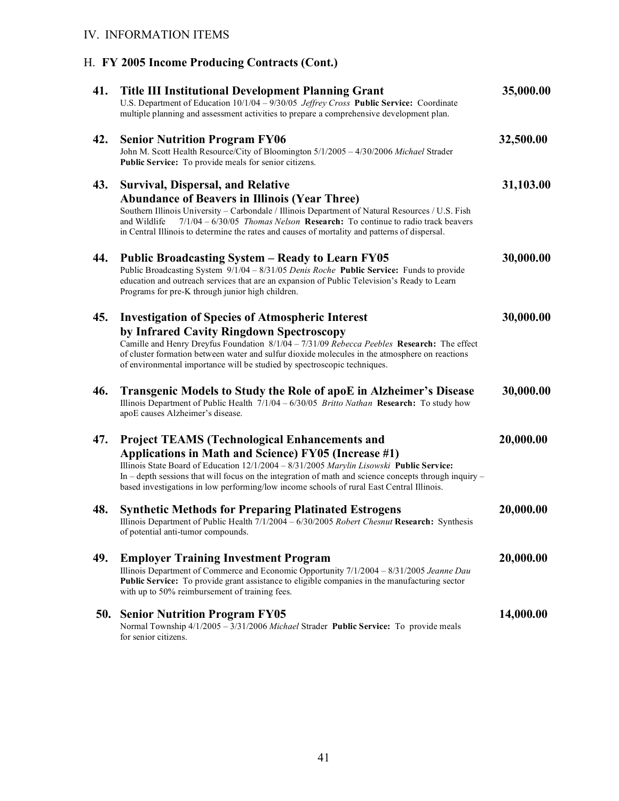| 41. | <b>Title III Institutional Development Planning Grant</b><br>U.S. Department of Education 10/1/04 - 9/30/05 Jeffrey Cross Public Service: Coordinate<br>multiple planning and assessment activities to prepare a comprehensive development plan.                                                                                                                                                                 | 35,000.00 |
|-----|------------------------------------------------------------------------------------------------------------------------------------------------------------------------------------------------------------------------------------------------------------------------------------------------------------------------------------------------------------------------------------------------------------------|-----------|
| 42. | <b>Senior Nutrition Program FY06</b><br>John M. Scott Health Resource/City of Bloomington 5/1/2005 - 4/30/2006 Michael Strader<br>Public Service: To provide meals for senior citizens.                                                                                                                                                                                                                          | 32,500.00 |
| 43. | <b>Survival, Dispersal, and Relative</b><br><b>Abundance of Beavers in Illinois (Year Three)</b><br>Southern Illinois University - Carbondale / Illinois Department of Natural Resources / U.S. Fish<br>7/1/04 - 6/30/05 Thomas Nelson Research: To continue to radio track beavers<br>and Wildlife<br>in Central Illinois to determine the rates and causes of mortality and patterns of dispersal.             | 31,103.00 |
| 44. | <b>Public Broadcasting System – Ready to Learn FY05</b><br>Public Broadcasting System $9/1/04 - 8/31/05$ Denis Roche Public Service: Funds to provide<br>education and outreach services that are an expansion of Public Television's Ready to Learn<br>Programs for pre-K through junior high children.                                                                                                         | 30,000.00 |
| 45. | <b>Investigation of Species of Atmospheric Interest</b><br>by Infrared Cavity Ringdown Spectroscopy<br>Camille and Henry Dreyfus Foundation 8/1/04 - 7/31/09 Rebecca Peebles Research: The effect<br>of cluster formation between water and sulfur dioxide molecules in the atmosphere on reactions<br>of environmental importance will be studied by spectroscopic techniques.                                  | 30,000.00 |
| 46. | <b>Transgenic Models to Study the Role of apoE in Alzheimer's Disease</b><br>Illinois Department of Public Health 7/1/04 - 6/30/05 Britto Nathan Research: To study how<br>apoE causes Alzheimer's disease.                                                                                                                                                                                                      | 30,000.00 |
| 47. | <b>Project TEAMS (Technological Enhancements and</b><br>Applications in Math and Science) FY05 (Increase #1)<br>Illinois State Board of Education $12/1/2004 - 8/31/2005$ Marylin Lisowski Public Service:<br>In – depth sessions that will focus on the integration of math and science concepts through inquiry –<br>based investigations in low performing/low income schools of rural East Central Illinois. | 20,000.00 |
| 48. | <b>Synthetic Methods for Preparing Platinated Estrogens</b><br>Illinois Department of Public Health $7/1/2004 - 6/30/2005$ Robert Chesnut Research: Synthesis<br>of potential anti-tumor compounds.                                                                                                                                                                                                              | 20,000.00 |
| 49. | <b>Employer Training Investment Program</b><br>Illinois Department of Commerce and Economic Opportunity 7/1/2004 - 8/31/2005 Jeanne Dau<br>Public Service: To provide grant assistance to eligible companies in the manufacturing sector<br>with up to 50% reimbursement of training fees.                                                                                                                       | 20,000.00 |
| 50. | <b>Senior Nutrition Program FY05</b><br>Normal Township $4/1/2005 - 3/31/2006$ Michael Strader Public Service: To provide meals<br>for senior citizens.                                                                                                                                                                                                                                                          | 14,000.00 |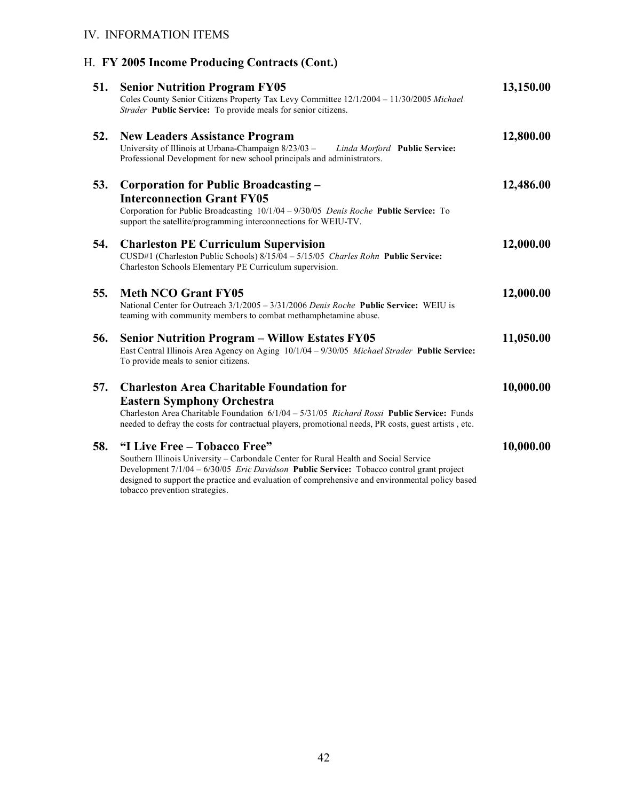| 51. | <b>Senior Nutrition Program FY05</b><br>Coles County Senior Citizens Property Tax Levy Committee 12/1/2004 - 11/30/2005 Michael<br>Strader Public Service: To provide meals for senior citizens.                                                                                                                                                             | 13,150.00 |
|-----|--------------------------------------------------------------------------------------------------------------------------------------------------------------------------------------------------------------------------------------------------------------------------------------------------------------------------------------------------------------|-----------|
| 52. | <b>New Leaders Assistance Program</b><br>University of Illinois at Urbana-Champaign 8/23/03 -<br>Linda Morford Public Service:<br>Professional Development for new school principals and administrators.                                                                                                                                                     | 12,800.00 |
| 53. | Corporation for Public Broadcasting -<br><b>Interconnection Grant FY05</b><br>Corporation for Public Broadcasting 10/1/04 - 9/30/05 Denis Roche Public Service: To<br>support the satellite/programming interconnections for WEIU-TV.                                                                                                                        | 12,486.00 |
| 54. | <b>Charleston PE Curriculum Supervision</b><br>CUSD#1 (Charleston Public Schools) 8/15/04 - 5/15/05 Charles Rohn Public Service:<br>Charleston Schools Elementary PE Curriculum supervision.                                                                                                                                                                 | 12,000.00 |
| 55. | <b>Meth NCO Grant FY05</b><br>National Center for Outreach 3/1/2005 - 3/31/2006 Denis Roche Public Service: WEIU is<br>teaming with community members to combat methamphetamine abuse.                                                                                                                                                                       | 12,000.00 |
| 56. | <b>Senior Nutrition Program – Willow Estates FY05</b><br>East Central Illinois Area Agency on Aging 10/1/04 - 9/30/05 Michael Strader Public Service:<br>To provide meals to senior citizens.                                                                                                                                                                | 11,050.00 |
| 57. | <b>Charleston Area Charitable Foundation for</b><br><b>Eastern Symphony Orchestra</b><br>Charleston Area Charitable Foundation 6/1/04 - 5/31/05 Richard Rossi Public Service: Funds<br>needed to defray the costs for contractual players, promotional needs, PR costs, guest artists, etc.                                                                  | 10,000.00 |
| 58. | "I Live Free – Tobacco Free"<br>Southern Illinois University - Carbondale Center for Rural Health and Social Service<br>Development 7/1/04 - 6/30/05 <i>Eric Davidson</i> Public Service: Tobacco control grant project<br>designed to support the practice and evaluation of comprehensive and environmental policy based<br>tobacco prevention strategies. | 10,000.00 |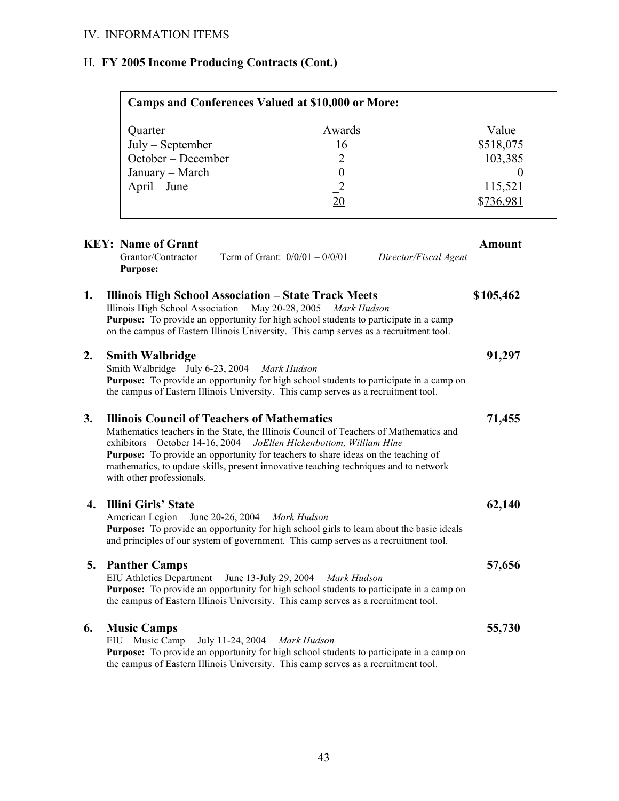|    | <b>Camps and Conferences Valued at \$10,000 or More:</b>                                                                                                                                                                                                                                                                                                                                                                       |                       |                                                                          |
|----|--------------------------------------------------------------------------------------------------------------------------------------------------------------------------------------------------------------------------------------------------------------------------------------------------------------------------------------------------------------------------------------------------------------------------------|-----------------------|--------------------------------------------------------------------------|
|    | <b>Awards</b><br><b>Quarter</b><br>July – September<br>16<br>October - December<br>$\overline{2}$<br>$\boldsymbol{0}$<br>January - March<br>$\overline{2}$<br>April – June<br>$\underline{20}$                                                                                                                                                                                                                                 |                       | Value<br>\$518,075<br>103,385<br>$\theta$<br>115,521<br><u>\$736,981</u> |
|    | <b>KEY: Name of Grant</b><br>Grantor/Contractor<br>Term of Grant: $0/0/01 - 0/0/01$<br><b>Purpose:</b>                                                                                                                                                                                                                                                                                                                         | Director/Fiscal Agent | <b>Amount</b>                                                            |
| 1. | <b>Illinois High School Association - State Track Meets</b><br>Illinois High School Association<br>May 20-28, 2005<br>Purpose: To provide an opportunity for high school students to participate in a camp<br>on the campus of Eastern Illinois University. This camp serves as a recruitment tool.                                                                                                                            | Mark Hudson           | \$105,462                                                                |
| 2. | <b>Smith Walbridge</b><br>Smith Walbridge July 6-23, 2004 Mark Hudson<br><b>Purpose:</b> To provide an opportunity for high school students to participate in a camp on<br>the campus of Eastern Illinois University. This camp serves as a recruitment tool.                                                                                                                                                                  |                       | 91,297                                                                   |
| 3. | <b>Illinois Council of Teachers of Mathematics</b><br>Mathematics teachers in the State, the Illinois Council of Teachers of Mathematics and<br>exhibitors October 14-16, 2004<br>JoEllen Hickenbottom, William Hine<br>Purpose: To provide an opportunity for teachers to share ideas on the teaching of<br>mathematics, to update skills, present innovative teaching techniques and to network<br>with other professionals. |                       | 71,455                                                                   |
|    | 4. Illini Girls' State<br>American Legion<br>June 20-26, 2004 Mark Hudson<br>Purpose: To provide an opportunity for high school girls to learn about the basic ideals<br>and principles of our system of government. This camp serves as a recruitment tool.                                                                                                                                                                   |                       | 62,140                                                                   |
|    | <b>5. Panther Camps</b><br><b>EIU Athletics Department</b><br>June 13-July 29, 2004 Mark Hudson<br>Purpose: To provide an opportunity for high school students to participate in a camp on<br>the campus of Eastern Illinois University. This camp serves as a recruitment tool.                                                                                                                                               |                       | 57,656                                                                   |
| 6. | <b>Music Camps</b><br>EIU - Music Camp<br>July 11-24, 2004<br>Mark Hudson<br>Purpose: To provide an opportunity for high school students to participate in a camp on<br>the campus of Eastern Illinois University. This camp serves as a recruitment tool.                                                                                                                                                                     |                       | 55,730                                                                   |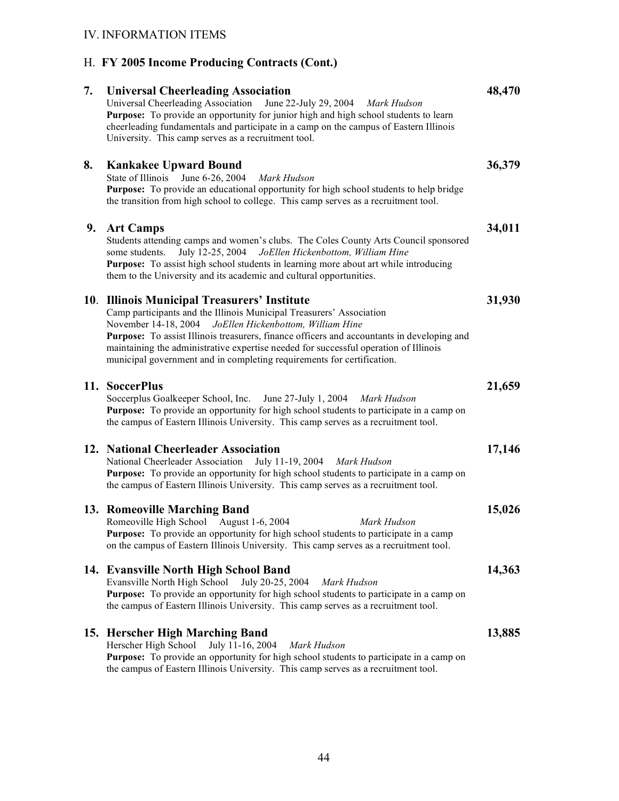| 7. | <b>Universal Cheerleading Association</b><br>Universal Cheerleading Association June 22-July 29, 2004 Mark Hudson<br>Purpose: To provide an opportunity for junior high and high school students to learn<br>cheerleading fundamentals and participate in a camp on the campus of Eastern Illinois<br>University. This camp serves as a recruitment tool.                                                                                                 | 48,470 |
|----|-----------------------------------------------------------------------------------------------------------------------------------------------------------------------------------------------------------------------------------------------------------------------------------------------------------------------------------------------------------------------------------------------------------------------------------------------------------|--------|
| 8. | <b>Kankakee Upward Bound</b><br>State of Illinois<br>June 6-26, 2004<br>Mark Hudson<br>Purpose: To provide an educational opportunity for high school students to help bridge<br>the transition from high school to college. This camp serves as a recruitment tool.                                                                                                                                                                                      | 36,379 |
|    | 9. Art Camps<br>Students attending camps and women's clubs. The Coles County Arts Council sponsored<br>July 12-25, 2004<br>JoEllen Hickenbottom, William Hine<br>some students.<br>Purpose: To assist high school students in learning more about art while introducing<br>them to the University and its academic and cultural opportunities.                                                                                                            | 34,011 |
|    | 10. Illinois Municipal Treasurers' Institute<br>Camp participants and the Illinois Municipal Treasurers' Association<br>November 14-18, 2004<br>JoEllen Hickenbottom, William Hine<br><b>Purpose:</b> To assist Illinois treasurers, finance officers and accountants in developing and<br>maintaining the administrative expertise needed for successful operation of Illinois<br>municipal government and in completing requirements for certification. | 31,930 |
|    | 11. SoccerPlus<br>Soccerplus Goalkeeper School, Inc. June 27-July 1, 2004 Mark Hudson<br><b>Purpose:</b> To provide an opportunity for high school students to participate in a camp on<br>the campus of Eastern Illinois University. This camp serves as a recruitment tool.                                                                                                                                                                             | 21,659 |
|    | 12. National Cheerleader Association<br>National Cheerleader Association July 11-19, 2004 Mark Hudson<br>Purpose: To provide an opportunity for high school students to participate in a camp on<br>the campus of Eastern Illinois University. This camp serves as a recruitment tool.                                                                                                                                                                    | 17,146 |
|    | 13. Romeoville Marching Band<br>Romeoville High School August 1-6, 2004<br>Mark Hudson<br>Purpose: To provide an opportunity for high school students to participate in a camp<br>on the campus of Eastern Illinois University. This camp serves as a recruitment tool.                                                                                                                                                                                   | 15,026 |
|    | 14. Evansville North High School Band<br>Evansville North High School<br>July 20-25, 2004<br>Mark Hudson<br><b>Purpose:</b> To provide an opportunity for high school students to participate in a camp on<br>the campus of Eastern Illinois University. This camp serves as a recruitment tool.                                                                                                                                                          | 14,363 |
|    | 15. Herscher High Marching Band<br>Herscher High School<br>July 11-16, 2004<br>Mark Hudson<br>Purpose: To provide an opportunity for high school students to participate in a camp on<br>the campus of Eastern Illinois University. This camp serves as a recruitment tool.                                                                                                                                                                               | 13,885 |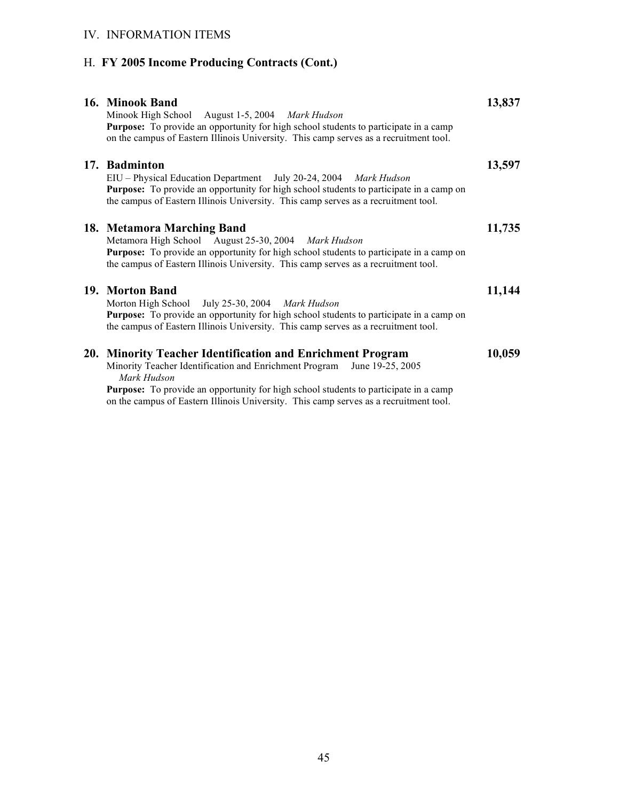| 16. Minook Band<br>Minook High School August 1-5, 2004 Mark Hudson<br><b>Purpose:</b> To provide an opportunity for high school students to participate in a camp<br>on the campus of Eastern Illinois University. This camp serves as a recruitment tool.                                                                                      | 13,837 |
|-------------------------------------------------------------------------------------------------------------------------------------------------------------------------------------------------------------------------------------------------------------------------------------------------------------------------------------------------|--------|
| 17. Badminton<br>EIU - Physical Education Department July 20-24, 2004 Mark Hudson<br><b>Purpose:</b> To provide an opportunity for high school students to participate in a camp on<br>the campus of Eastern Illinois University. This camp serves as a recruitment tool.                                                                       | 13,597 |
| 18. Metamora Marching Band<br>Metamora High School August 25-30, 2004 Mark Hudson<br><b>Purpose:</b> To provide an opportunity for high school students to participate in a camp on<br>the campus of Eastern Illinois University. This camp serves as a recruitment tool.                                                                       | 11,735 |
| 19. Morton Band<br>Morton High School July 25-30, 2004 Mark Hudson<br><b>Purpose:</b> To provide an opportunity for high school students to participate in a camp on<br>the campus of Eastern Illinois University. This camp serves as a recruitment tool.                                                                                      | 11,144 |
| 20. Minority Teacher Identification and Enrichment Program<br>Minority Teacher Identification and Enrichment Program<br>June 19-25, 2005<br>Mark Hudson<br><b>Purpose:</b> To provide an opportunity for high school students to participate in a camp<br>on the campus of Eastern Illinois University. This camp serves as a recruitment tool. | 10,059 |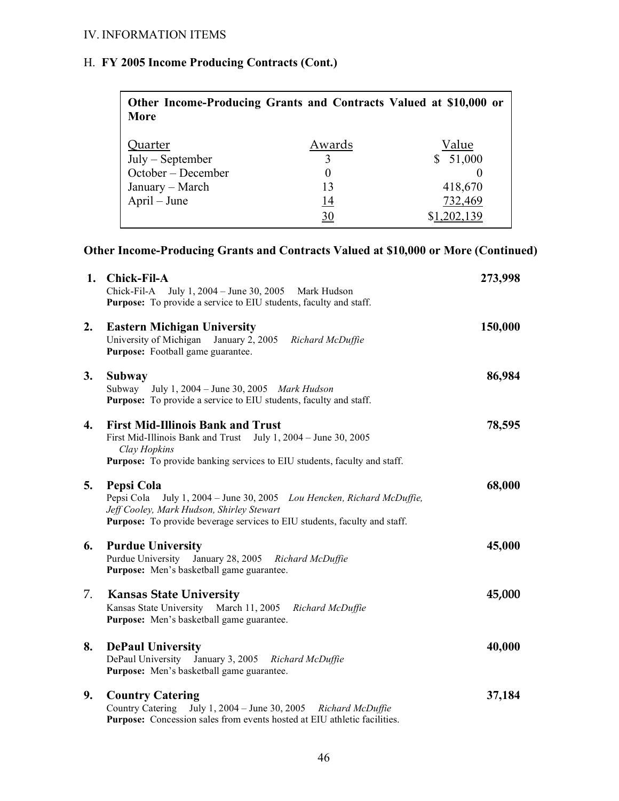# H. **FY 2005 Income Producing Contracts (Cont.)**

| Other Income-Producing Grants and Contracts Valued at \$10,000 or<br>More |            |          |
|---------------------------------------------------------------------------|------------|----------|
| Quarter                                                                   | Awards     | Value    |
| $July - September$                                                        |            | \$51,000 |
| October – December                                                        |            |          |
| January – March                                                           | 13         | 418,670  |
| April – June                                                              | <u> 14</u> | 732,469  |
|                                                                           | 30         |          |

# **Other Income-Producing Grants and Contracts Valued at \$10,000 or More (Continued)**

|    | 1. Chick-Fil-A<br>Chick-Fil-A July 1, 2004 – June 30, 2005 Mark Hudson<br>Purpose: To provide a service to EIU students, faculty and staff.                                                                              | 273,998 |
|----|--------------------------------------------------------------------------------------------------------------------------------------------------------------------------------------------------------------------------|---------|
| 2. | <b>Eastern Michigan University</b><br>University of Michigan January 2, 2005 Richard McDuffie<br>Purpose: Football game guarantee.                                                                                       | 150,000 |
| 3. | <b>Subway</b><br>Subway<br>July 1, 2004 – June 30, 2005 Mark Hudson<br><b>Purpose:</b> To provide a service to EIU students, faculty and staff.                                                                          | 86,984  |
| 4. | <b>First Mid-Illinois Bank and Trust</b><br>First Mid-Illinois Bank and Trust July 1, 2004 – June 30, 2005<br>Clay Hopkins<br><b>Purpose:</b> To provide banking services to EIU students, faculty and staff.            | 78,595  |
| 5. | Pepsi Cola<br>Pepsi Cola<br>July 1, 2004 - June 30, 2005 Lou Hencken, Richard McDuffie,<br>Jeff Cooley, Mark Hudson, Shirley Stewart<br><b>Purpose:</b> To provide beverage services to EIU students, faculty and staff. | 68,000  |
| 6. | <b>Purdue University</b><br>Purdue University January 28, 2005 Richard McDuffie<br>Purpose: Men's basketball game guarantee.                                                                                             | 45,000  |
| 7. | <b>Kansas State University</b><br>Kansas State University March 11, 2005 Richard McDuffie<br>Purpose: Men's basketball game guarantee.                                                                                   | 45,000  |
| 8. | <b>DePaul University</b><br>DePaul University January 3, 2005 Richard McDuffie<br>Purpose: Men's basketball game guarantee.                                                                                              | 40,000  |
| 9. | <b>Country Catering</b><br>Country Catering<br>July 1, 2004 – June 30, 2005 Richard McDuffie<br>Purpose: Concession sales from events hosted at EIU athletic facilities.                                                 | 37,184  |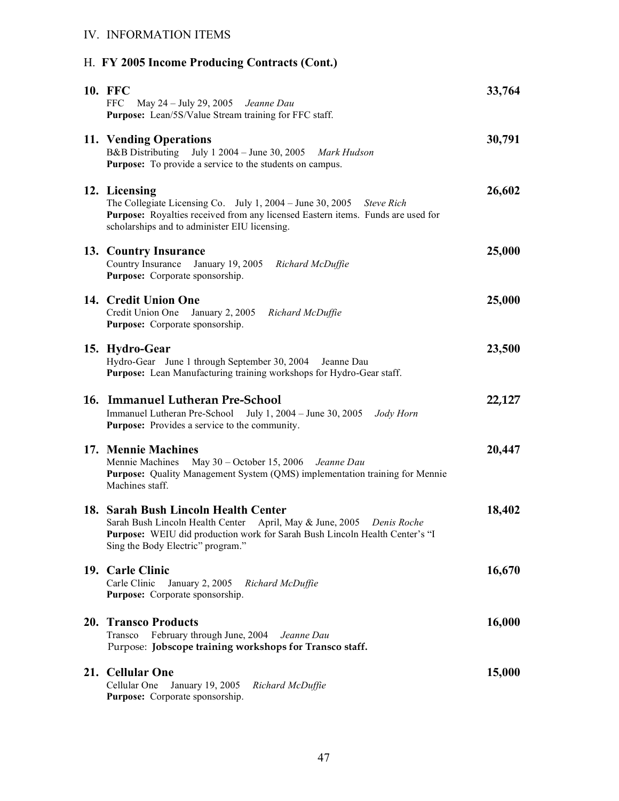| <b>10. FFC</b><br><b>FFC</b><br>May 24 - July 29, 2005   Jeanne Dau<br>Purpose: Lean/5S/Value Stream training for FFC staff.                                                                                                          | 33,764 |
|---------------------------------------------------------------------------------------------------------------------------------------------------------------------------------------------------------------------------------------|--------|
| 11. Vending Operations<br>B&B Distributing July 1 2004 - June 30, 2005 Mark Hudson<br><b>Purpose:</b> To provide a service to the students on campus.                                                                                 | 30,791 |
| 12. Licensing<br>The Collegiate Licensing Co. July $1, 2004 -$ June 30, 2005<br><b>Steve Rich</b><br>Purpose: Royalties received from any licensed Eastern items. Funds are used for<br>scholarships and to administer EIU licensing. | 26,602 |
| 13. Country Insurance<br>Country Insurance<br>January 19, 2005<br>Richard McDuffie<br>Purpose: Corporate sponsorship.                                                                                                                 | 25,000 |
| 14. Credit Union One<br>Credit Union One<br>January 2, 2005<br>Richard McDuffie<br>Purpose: Corporate sponsorship.                                                                                                                    | 25,000 |
| 15. Hydro-Gear<br>Hydro-Gear June 1 through September 30, 2004 Jeanne Dau<br>Purpose: Lean Manufacturing training workshops for Hydro-Gear staff.                                                                                     | 23,500 |
| 16. Immanuel Lutheran Pre-School<br>Immanuel Lutheran Pre-School July 1, 2004 - June 30, 2005 Jody Horn<br>Purpose: Provides a service to the community.                                                                              | 22,127 |
| 17. Mennie Machines<br>Mennie Machines May 30 - October 15, 2006 Jeanne Dau<br>Purpose: Quality Management System (QMS) implementation training for Mennie<br>Machines staff.                                                         | 20,447 |
| 18. Sarah Bush Lincoln Health Center<br>Sarah Bush Lincoln Health Center April, May & June, 2005 Denis Roche<br>Purpose: WEIU did production work for Sarah Bush Lincoln Health Center's "I<br>Sing the Body Electric" program."      | 18,402 |
| 19. Carle Clinic<br>Carle Clinic<br>January 2, 2005 Richard McDuffie<br>Purpose: Corporate sponsorship.                                                                                                                               | 16,670 |
| <b>20. Transco Products</b><br>February through June, 2004 Jeanne Dau<br>Transco<br>Purpose: Jobscope training workshops for Transco staff.                                                                                           | 16,000 |
| 21. Cellular One<br>Cellular One<br>January 19, 2005<br>Richard McDuffie<br>Purpose: Corporate sponsorship.                                                                                                                           | 15,000 |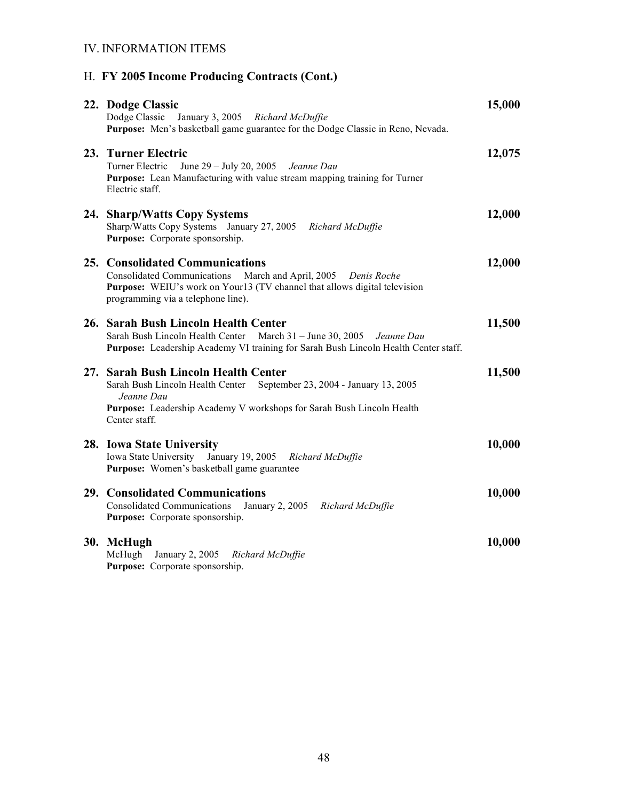| 22. Dodge Classic<br>Dodge Classic January 3, 2005 Richard McDuffie<br>Purpose: Men's basketball game guarantee for the Dodge Classic in Reno, Nevada.                                                                    | 15,000 |
|---------------------------------------------------------------------------------------------------------------------------------------------------------------------------------------------------------------------------|--------|
| 23. Turner Electric<br>Turner Electric<br>June 29 - July 20, 2005   Jeanne Dau<br>Purpose: Lean Manufacturing with value stream mapping training for Turner<br>Electric staff.                                            | 12,075 |
| 24. Sharp/Watts Copy Systems<br>Sharp/Watts Copy Systems January 27, 2005 Richard McDuffie<br>Purpose: Corporate sponsorship.                                                                                             | 12,000 |
| 25. Consolidated Communications<br>Consolidated Communications March and April, 2005 Denis Roche<br>Purpose: WEIU's work on Your13 (TV channel that allows digital television<br>programming via a telephone line).       | 12,000 |
| 26. Sarah Bush Lincoln Health Center<br>Sarah Bush Lincoln Health Center<br>March 31 – June 30, 2005<br>Jeanne Dau<br>Purpose: Leadership Academy VI training for Sarah Bush Lincoln Health Center staff.                 |        |
| 27. Sarah Bush Lincoln Health Center<br>Sarah Bush Lincoln Health Center<br>September 23, 2004 - January 13, 2005<br>Jeanne Dau<br>Purpose: Leadership Academy V workshops for Sarah Bush Lincoln Health<br>Center staff. | 11,500 |
| 28. Iowa State University<br>Iowa State University January 19, 2005 Richard McDuffie<br>Purpose: Women's basketball game guarantee                                                                                        | 10,000 |
| 29. Consolidated Communications<br><b>Consolidated Communications</b><br>January 2, 2005 Richard McDuffie<br>Purpose: Corporate sponsorship.                                                                              | 10,000 |
| 30. McHugh<br>McHugh<br>January 2, 2005 Richard McDuffie<br>Purpose: Corporate sponsorship.                                                                                                                               | 10,000 |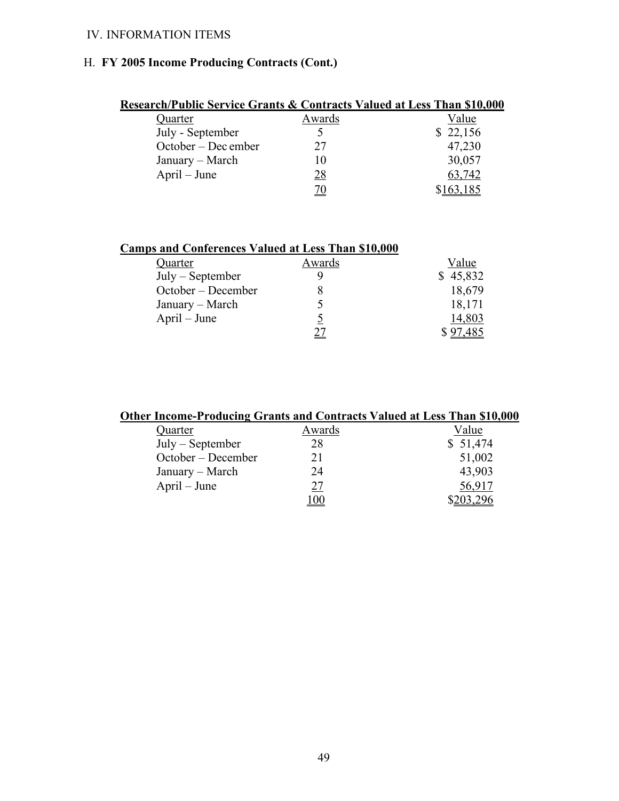# H. **FY 2005 Income Producing Contracts (Cont.)**

| Research/Public Service Grants & Contracts Valued at Less Than \$10,000 |        |          |
|-------------------------------------------------------------------------|--------|----------|
| Quarter                                                                 | Awards | Value    |
| July - September                                                        |        | \$22,156 |
| $October - Dec$ ember                                                   | 27     | 47,230   |
| January – March                                                         | 10     | 30,057   |
| April – June                                                            | 28     | 63,742   |
|                                                                         |        | 163,185  |

# **Camps and Conferences Valued at Less Than \$10,000**

| Quarter            | Awards | Value    |
|--------------------|--------|----------|
| $July - September$ |        | \$45,832 |
| October – December |        | 18,679   |
| January – March    |        | 18,171   |
| April – June       |        | 14,803   |
|                    |        | 485      |

|  | <b>Other Income-Producing Grants and Contracts Valued at Less Than \$10,000</b> |  |  |  |
|--|---------------------------------------------------------------------------------|--|--|--|
|--|---------------------------------------------------------------------------------|--|--|--|

| Quarter            | Awards | √alue    |
|--------------------|--------|----------|
| $July - September$ | 28     | \$51,474 |
| October – December | 21     | 51,002   |
| January – March    | 24     | 43,903   |
| April – June       | 27     | 56,917   |
|                    | 100    | 03 296   |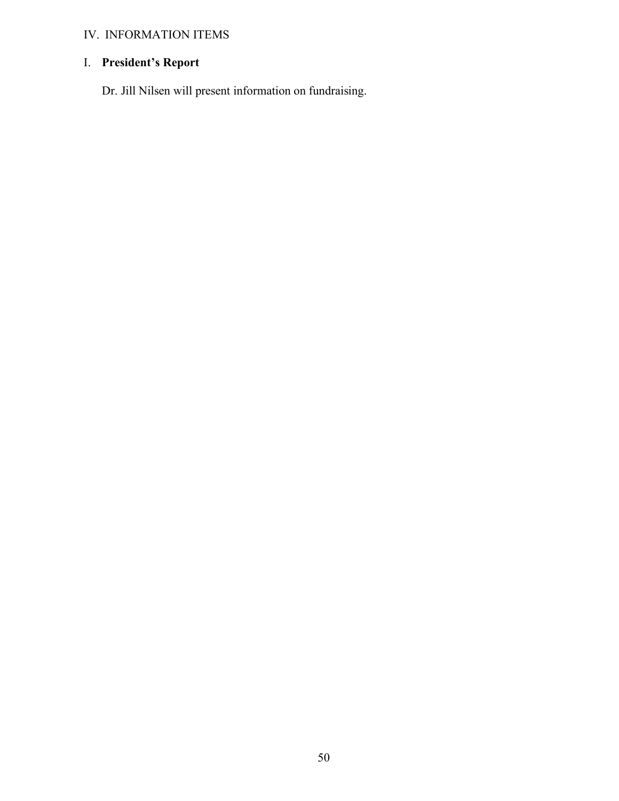# I. **President's Report**

Dr. Jill Nilsen will present information on fundraising.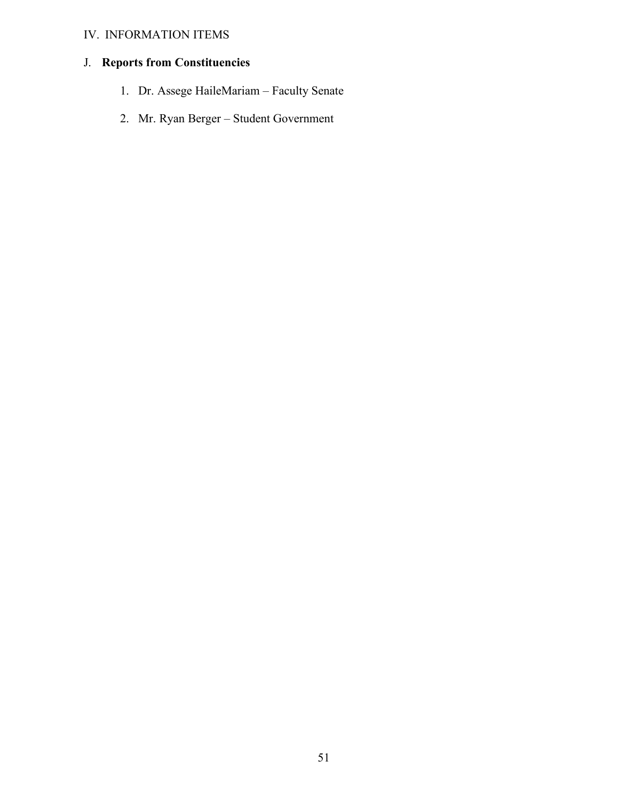# J. **Reports from Constituencies**

- 1. Dr. Assege HaileMariam Faculty Senate
- 2. Mr. Ryan Berger Student Government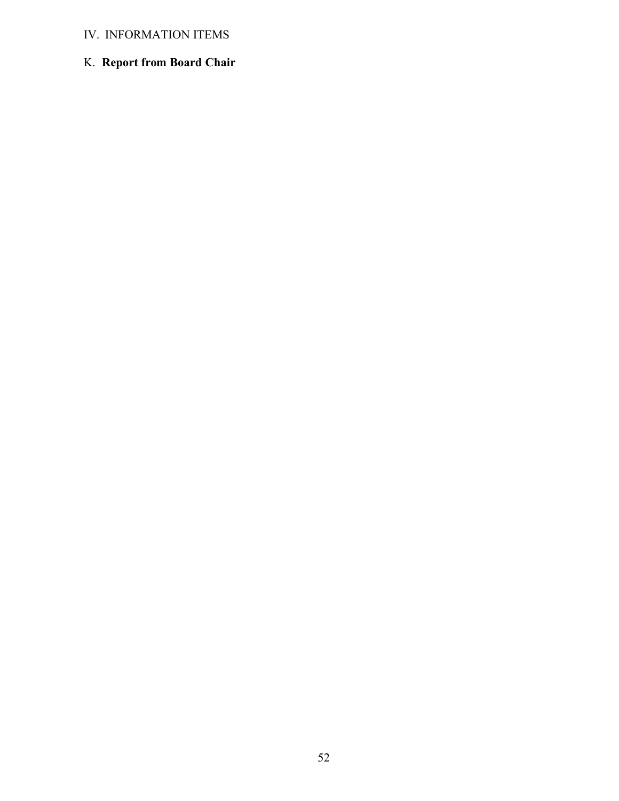# K. **Report from Board Chair**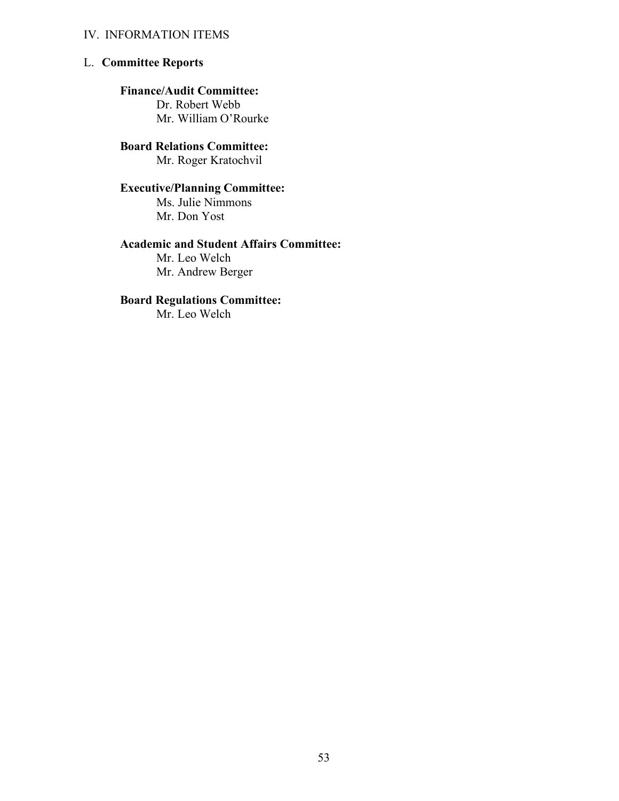## L. **Committee Reports**

## **Finance/Audit Committee:**

Dr. Robert Webb Mr. William O'Rourke

# **Board Relations Committee:**

Mr. Roger Kratochvil

# **Executive/Planning Committee:**

Ms. Julie Nimmons Mr. Don Yost

# **Academic and Student Affairs Committee:**

Mr. Leo Welch Mr. Andrew Berger

## **Board Regulations Committee:**

Mr. Leo Welch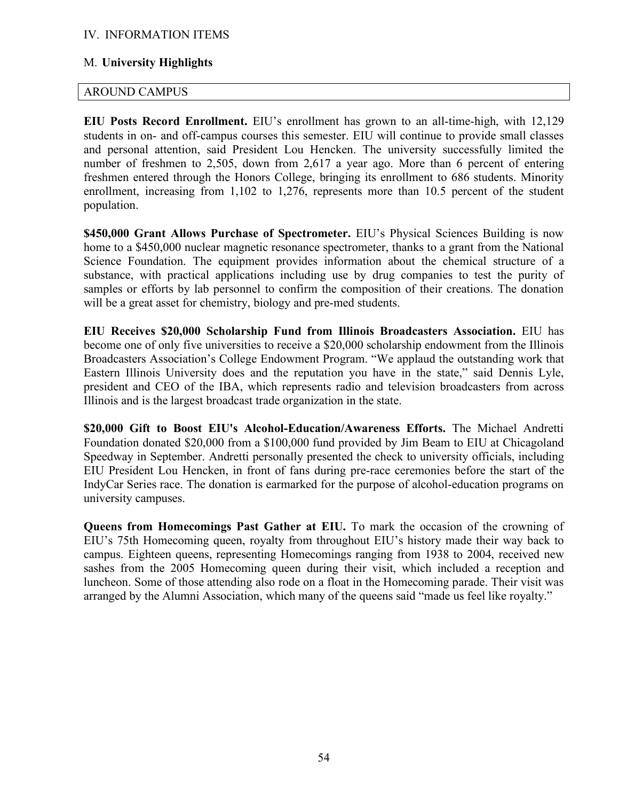## M. **University Highlights**

## AROUND CAMPUS

**EIU Posts Record Enrollment.** EIU's enrollment has grown to an all-time-high, with 12,129 students in on- and off-campus courses this semester. EIU will continue to provide small classes and personal attention, said President Lou Hencken. The university successfully limited the number of freshmen to 2,505, down from 2,617 a year ago. More than 6 percent of entering freshmen entered through the Honors College, bringing its enrollment to 686 students. Minority enrollment, increasing from 1,102 to 1,276, represents more than 10.5 percent of the student population.

**\$450,000 Grant Allows Purchase of Spectrometer.** EIU's Physical Sciences Building is now home to a \$450,000 nuclear magnetic resonance spectrometer, thanks to a grant from the National Science Foundation. The equipment provides information about the chemical structure of a substance, with practical applications including use by drug companies to test the purity of samples or efforts by lab personnel to confirm the composition of their creations. The donation will be a great asset for chemistry, biology and pre-med students.

**EIU Receives \$20,000 Scholarship Fund from Illinois Broadcasters Association.** EIU has become one of only five universities to receive a \$20,000 scholarship endowment from the Illinois Broadcasters Association's College Endowment Program. "We applaud the outstanding work that Eastern Illinois University does and the reputation you have in the state," said Dennis Lyle, president and CEO of the IBA, which represents radio and television broadcasters from across Illinois and is the largest broadcast trade organization in the state.

**\$20,000 Gift to Boost EIU's Alcohol-Education/Awareness Efforts.** The Michael Andretti Foundation donated \$20,000 from a \$100,000 fund provided by Jim Beam to EIU at Chicagoland Speedway in September. Andretti personally presented the check to university officials, including EIU President Lou Hencken, in front of fans during pre-race ceremonies before the start of the IndyCar Series race. The donation is earmarked for the purpose of alcohol-education programs on university campuses.

**Queens from Homecomings Past Gather at EIU.** To mark the occasion of the crowning of EIU's 75th Homecoming queen, royalty from throughout EIU's history made their way back to campus. Eighteen queens, representing Homecomings ranging from 1938 to 2004, received new sashes from the 2005 Homecoming queen during their visit, which included a reception and luncheon. Some of those attending also rode on a float in the Homecoming parade. Their visit was arranged by the Alumni Association, which many of the queens said "made us feel like royalty."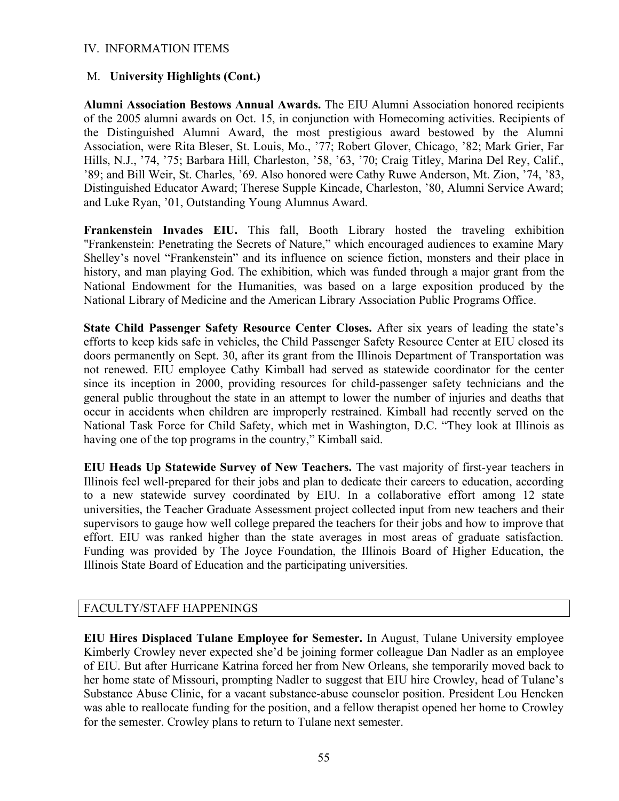## M. **University Highlights (Cont.)**

**Alumni Association Bestows Annual Awards.** The EIU Alumni Association honored recipients of the 2005 alumni awards on Oct. 15, in conjunction with Homecoming activities. Recipients of the Distinguished Alumni Award, the most prestigious award bestowed by the Alumni Association, were Rita Bleser, St. Louis, Mo., '77; Robert Glover, Chicago, '82; Mark Grier, Far Hills, N.J., '74, '75; Barbara Hill, Charleston, '58, '63, '70; Craig Titley, Marina Del Rey, Calif., '89; and Bill Weir, St. Charles, '69. Also honored were Cathy Ruwe Anderson, Mt. Zion, '74, '83, Distinguished Educator Award; Therese Supple Kincade, Charleston, '80, Alumni Service Award; and Luke Ryan, '01, Outstanding Young Alumnus Award.

**Frankenstein Invades EIU.** This fall, Booth Library hosted the traveling exhibition "Frankenstein: Penetrating the Secrets of Nature," which encouraged audiences to examine Mary Shelley's novel "Frankenstein" and its influence on science fiction, monsters and their place in history, and man playing God. The exhibition, which was funded through a major grant from the National Endowment for the Humanities, was based on a large exposition produced by the National Library of Medicine and the American Library Association Public Programs Office.

**State Child Passenger Safety Resource Center Closes.** After six years of leading the state's efforts to keep kids safe in vehicles, the Child Passenger Safety Resource Center at EIU closed its doors permanently on Sept. 30, after its grant from the Illinois Department of Transportation was not renewed. EIU employee Cathy Kimball had served as statewide coordinator for the center since its inception in 2000, providing resources for child-passenger safety technicians and the general public throughout the state in an attempt to lower the number of injuries and deaths that occur in accidents when children are improperly restrained. Kimball had recently served on the National Task Force for Child Safety, which met in Washington, D.C. "They look at Illinois as having one of the top programs in the country," Kimball said.

**EIU Heads Up Statewide Survey of New Teachers.** The vast majority of first-year teachers in Illinois feel well-prepared for their jobs and plan to dedicate their careers to education, according to a new statewide survey coordinated by EIU. In a collaborative effort among 12 state universities, the Teacher Graduate Assessment project collected input from new teachers and their supervisors to gauge how well college prepared the teachers for their jobs and how to improve that effort. EIU was ranked higher than the state averages in most areas of graduate satisfaction. Funding was provided by The Joyce Foundation, the Illinois Board of Higher Education, the Illinois State Board of Education and the participating universities.

## FACULTY/STAFF HAPPENINGS

**EIU Hires Displaced Tulane Employee for Semester.** In August, Tulane University employee Kimberly Crowley never expected she'd be joining former colleague Dan Nadler as an employee of EIU. But after Hurricane Katrina forced her from New Orleans, she temporarily moved back to her home state of Missouri, prompting Nadler to suggest that EIU hire Crowley, head of Tulane's Substance Abuse Clinic, for a vacant substance-abuse counselor position. President Lou Hencken was able to reallocate funding for the position, and a fellow therapist opened her home to Crowley for the semester. Crowley plans to return to Tulane next semester.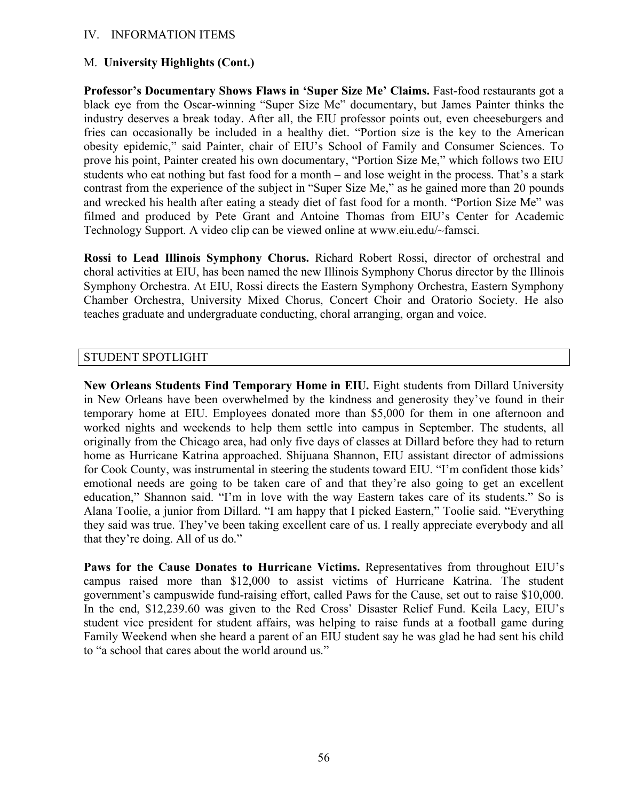## M. **University Highlights (Cont.)**

**Professor's Documentary Shows Flaws in 'Super Size Me' Claims.** Fast-food restaurants got a black eye from the Oscar-winning "Super Size Me" documentary, but James Painter thinks the industry deserves a break today. After all, the EIU professor points out, even cheeseburgers and fries can occasionally be included in a healthy diet. "Portion size is the key to the American obesity epidemic," said Painter, chair of EIU's School of Family and Consumer Sciences. To prove his point, Painter created his own documentary, "Portion Size Me," which follows two EIU students who eat nothing but fast food for a month – and lose weight in the process. That's a stark contrast from the experience of the subject in "Super Size Me," as he gained more than 20 pounds and wrecked his health after eating a steady diet of fast food for a month. "Portion Size Me" was filmed and produced by Pete Grant and Antoine Thomas from EIU's Center for Academic Technology Support. A video clip can be viewed online at www.eiu.edu/~famsci.

**Rossi to Lead Illinois Symphony Chorus.** Richard Robert Rossi, director of orchestral and choral activities at EIU, has been named the new Illinois Symphony Chorus director by the Illinois Symphony Orchestra. At EIU, Rossi directs the Eastern Symphony Orchestra, Eastern Symphony Chamber Orchestra, University Mixed Chorus, Concert Choir and Oratorio Society. He also teaches graduate and undergraduate conducting, choral arranging, organ and voice.

## STUDENT SPOTLIGHT

**New Orleans Students Find Temporary Home in EIU.** Eight students from Dillard University in New Orleans have been overwhelmed by the kindness and generosity they've found in their temporary home at EIU. Employees donated more than \$5,000 for them in one afternoon and worked nights and weekends to help them settle into campus in September. The students, all originally from the Chicago area, had only five days of classes at Dillard before they had to return home as Hurricane Katrina approached. Shijuana Shannon, EIU assistant director of admissions for Cook County, was instrumental in steering the students toward EIU. "I'm confident those kids' emotional needs are going to be taken care of and that they're also going to get an excellent education," Shannon said. "I'm in love with the way Eastern takes care of its students." So is Alana Toolie, a junior from Dillard. "I am happy that I picked Eastern," Toolie said. "Everything they said was true. They've been taking excellent care of us. I really appreciate everybody and all that they're doing. All of us do."

**Paws for the Cause Donates to Hurricane Victims.** Representatives from throughout EIU's campus raised more than \$12,000 to assist victims of Hurricane Katrina. The student government's campuswide fund-raising effort, called Paws for the Cause, set out to raise \$10,000. In the end, \$12,239.60 was given to the Red Cross' Disaster Relief Fund. Keila Lacy, EIU's student vice president for student affairs, was helping to raise funds at a football game during Family Weekend when she heard a parent of an EIU student say he was glad he had sent his child to "a school that cares about the world around us."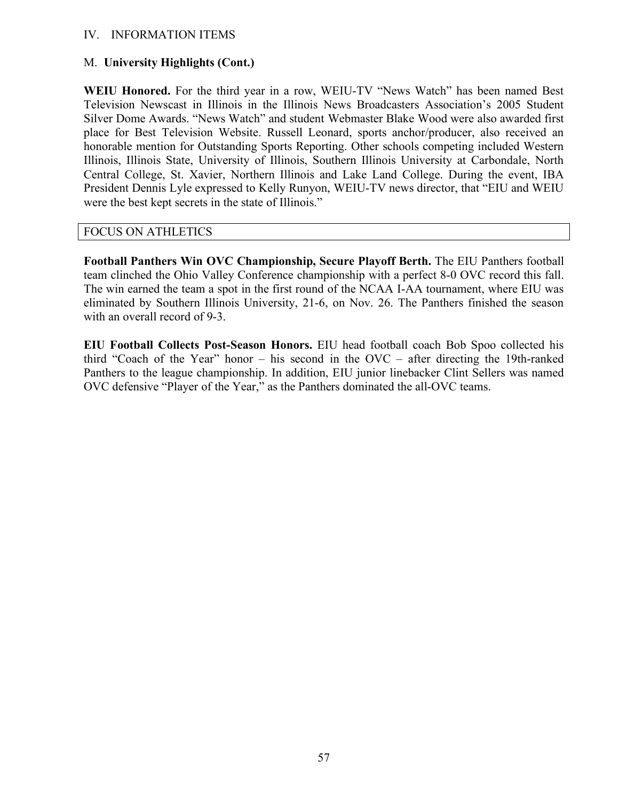## M. **University Highlights (Cont.)**

**WEIU Honored.** For the third year in a row, WEIU-TV "News Watch" has been named Best Television Newscast in Illinois in the Illinois News Broadcasters Association's 2005 Student Silver Dome Awards. "News Watch" and student Webmaster Blake Wood were also awarded first place for Best Television Website. Russell Leonard, sports anchor/producer, also received an honorable mention for Outstanding Sports Reporting. Other schools competing included Western Illinois, Illinois State, University of Illinois, Southern Illinois University at Carbondale, North Central College, St. Xavier, Northern Illinois and Lake Land College. During the event, IBA President Dennis Lyle expressed to Kelly Runyon, WEIU-TV news director, that "EIU and WEIU were the best kept secrets in the state of Illinois."

## FOCUS ON ATHLETICS

**Football Panthers Win OVC Championship, Secure Playoff Berth.** The EIU Panthers football team clinched the Ohio Valley Conference championship with a perfect 8-0 OVC record this fall. The win earned the team a spot in the first round of the NCAA I-AA tournament, where EIU was eliminated by Southern Illinois University, 21-6, on Nov. 26. The Panthers finished the season with an overall record of 9-3.

**EIU Football Collects Post-Season Honors.** EIU head football coach Bob Spoo collected his third "Coach of the Year" honor – his second in the OVC – after directing the 19th-ranked Panthers to the league championship. In addition, EIU junior linebacker Clint Sellers was named OVC defensive "Player of the Year," as the Panthers dominated the all-OVC teams.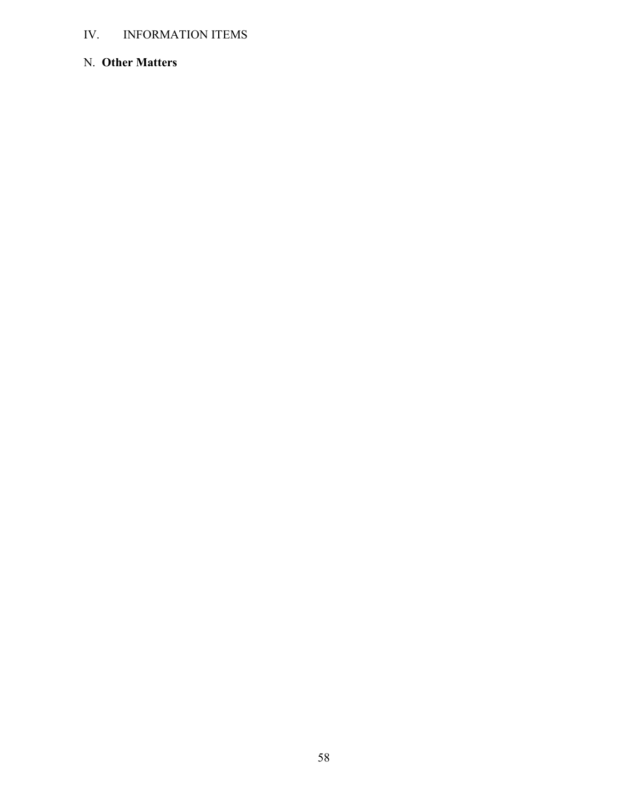## N. **Other Matters**